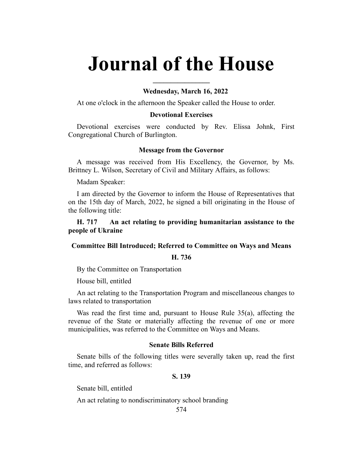# **Journal of the House**

**\_\_\_\_\_\_\_\_\_\_\_\_\_\_\_\_**

## **Wednesday, March 16, 2022**

At one o'clock in the afternoon the Speaker called the House to order.

## **Devotional Exercises**

Devotional exercises were conducted by Rev. Elissa Johnk, First Congregational Church of Burlington.

## **Message from the Governor**

A message was received from His Excellency, the Governor, by Ms. Brittney L. Wilson, Secretary of Civil and Military Affairs, as follows:

Madam Speaker:

I am directed by the Governor to inform the House of Representatives that on the 15th day of March, 2022, he signed a bill originating in the House of the following title:

**H. 717 An act relating to providing humanitarian assistance to the people of Ukraine**

## **Committee Bill Introduced; Referred to Committee on Ways and Means**

#### **H. 736**

By the Committee on Transportation

House bill, entitled

An act relating to the Transportation Program and miscellaneous changes to laws related to transportation

Was read the first time and, pursuant to House Rule 35(a), affecting the revenue of the State or materially affecting the revenue of one or more municipalities, was referred to the Committee on Ways and Means.

## **Senate Bills Referred**

Senate bills of the following titles were severally taken up, read the first time, and referred as follows:

#### **S. 139**

Senate bill, entitled

An act relating to nondiscriminatory school branding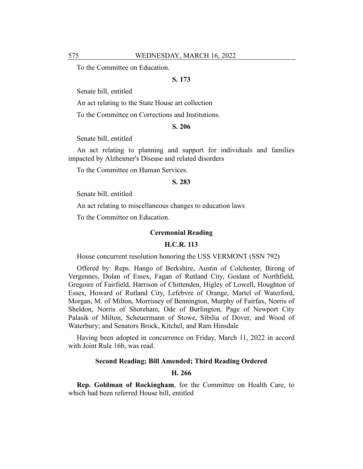To the Committee on Education.

## **S. 173**

Senate bill, entitled

An act relating to the State House art collection

To the Committee on Corrections and Institutions.

## **S. 206**

Senate bill, entitled

An act relating to planning and support for individuals and families impacted by Alzheimer's Disease and related disorders

To the Committee on Human Services.

#### **S. 283**

Senate bill, entitled

An act relating to miscellaneous changes to education laws

To the Committee on Education.

## **Ceremonial Reading**

## **H.C.R. 113**

House concurrent resolution honoring the USS VERMONT (SSN 792)

Offered by: Reps. Hango of Berkshire, Austin of Colchester, Birong of Vergennes, Dolan of Essex, Fagan of Rutland City, Goslant of Northfield, Gregoire of Fairfield, Harrison of Chittenden, Higley of Lowell, Houghton of Essex, Howard of Rutland City, Lefebvre of Orange, Martel of Waterford, Morgan, M. of Milton, Morrissey of Bennington, Murphy of Fairfax, Norris of Sheldon, Norris of Shoreham, Ode of Burlington, Page of Newport City Palasik of Milton, Scheuermann of Stowe, Sibilia of Dover, and Wood of Waterbury; and Senators Brock, Kitchel, and Ram Hinsdale

Having been adopted in concurrence on Friday, March 11, 2022 in accord with Joint Rule 16b, was read.

## **Second Reading; Bill Amended; Third Reading Ordered**

## **H. 266**

**Rep. Goldman of Rockingham**, for the Committee on Health Care, to which had been referred House bill, entitled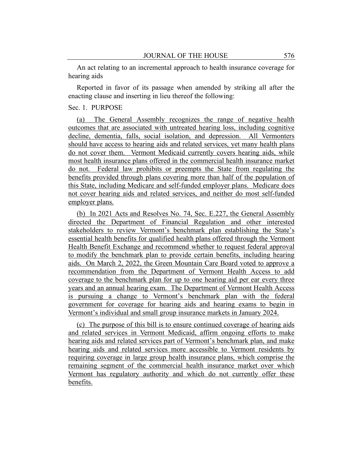An act relating to an incremental approach to health insurance coverage for hearing aids

Reported in favor of its passage when amended by striking all after the enacting clause and inserting in lieu thereof the following:

## Sec. 1. PURPOSE

(a) The General Assembly recognizes the range of negative health outcomes that are associated with untreated hearing loss, including cognitive decline, dementia, falls, social isolation, and depression. All Vermonters should have access to hearing aids and related services, yet many health plans do not cover them. Vermont Medicaid currently covers hearing aids, while most health insurance plans offered in the commercial health insurance market do not. Federal law prohibits or preempts the State from regulating the benefits provided through plans covering more than half of the population of this State, including Medicare and self-funded employer plans. Medicare does not cover hearing aids and related services, and neither do most self-funded employer plans.

(b) In 2021 Acts and Resolves No. 74, Sec. E.227, the General Assembly directed the Department of Financial Regulation and other interested stakeholders to review Vermont's benchmark plan establishing the State's essential health benefits for qualified health plans offered through the Vermont Health Benefit Exchange and recommend whether to request federal approval to modify the benchmark plan to provide certain benefits, including hearing aids. On March 2, 2022, the Green Mountain Care Board voted to approve a recommendation from the Department of Vermont Health Access to add coverage to the benchmark plan for up to one hearing aid per ear every three years and an annual hearing exam. The Department of Vermont Health Access is pursuing a change to Vermont's benchmark plan with the federal government for coverage for hearing aids and hearing exams to begin in Vermont's individual and small group insurance markets in January 2024.

(c) The purpose of this bill is to ensure continued coverage of hearing aids and related services in Vermont Medicaid, affirm ongoing efforts to make hearing aids and related services part of Vermont's benchmark plan, and make hearing aids and related services more accessible to Vermont residents by requiring coverage in large group health insurance plans, which comprise the remaining segment of the commercial health insurance market over which Vermont has regulatory authority and which do not currently offer these benefits.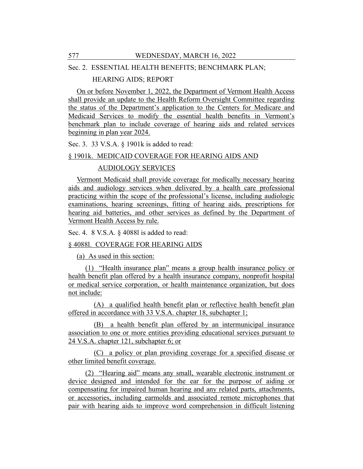## Sec. 2. ESSENTIAL HEALTH BENEFITS; BENCHMARK PLAN;

## HEARING AIDS; REPORT

On or before November 1, 2022, the Department of Vermont Health Access shall provide an update to the Health Reform Oversight Committee regarding the status of the Department's application to the Centers for Medicare and Medicaid Services to modify the essential health benefits in Vermont's benchmark plan to include coverage of hearing aids and related services beginning in plan year 2024.

Sec. 3. 33 V.S.A. § 1901k is added to read:

## § 1901k. MEDICAID COVERAGE FOR HEARING AIDS AND

## AUDIOLOGY SERVICES

Vermont Medicaid shall provide coverage for medically necessary hearing aids and audiology services when delivered by a health care professional practicing within the scope of the professional's license, including audiologic examinations, hearing screenings, fitting of hearing aids, prescriptions for hearing aid batteries, and other services as defined by the Department of Vermont Health Access by rule.

Sec. 4. 8 V.S.A. § 4088l is added to read:

## § 4088l. COVERAGE FOR HEARING AIDS

(a) As used in this section:

(1) "Health insurance plan" means a group health insurance policy or health benefit plan offered by a health insurance company, nonprofit hospital or medical service corporation, or health maintenance organization, but does not include:

(A) a qualified health benefit plan or reflective health benefit plan offered in accordance with 33 V.S.A. chapter 18, subchapter 1;

(B) a health benefit plan offered by an intermunicipal insurance association to one or more entities providing educational services pursuant to 24 V.S.A. chapter 121, subchapter 6; or

(C) a policy or plan providing coverage for a specified disease or other limited benefit coverage.

(2) "Hearing aid" means any small, wearable electronic instrument or device designed and intended for the ear for the purpose of aiding or compensating for impaired human hearing and any related parts, attachments, or accessories, including earmolds and associated remote microphones that pair with hearing aids to improve word comprehension in difficult listening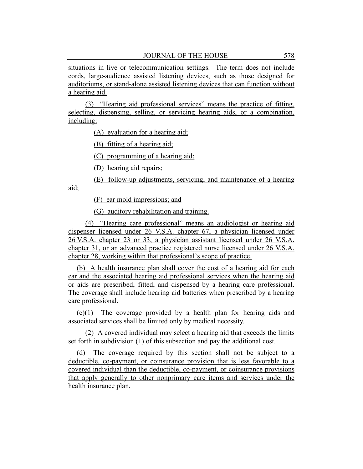situations in live or telecommunication settings. The term does not include cords, large-audience assisted listening devices, such as those designed for auditoriums, or stand-alone assisted listening devices that can function without a hearing aid.

(3) "Hearing aid professional services" means the practice of fitting, selecting, dispensing, selling, or servicing hearing aids, or a combination, including:

(A) evaluation for a hearing aid;

(B) fitting of a hearing aid;

(C) programming of a hearing aid;

(D) hearing aid repairs;

(E) follow-up adjustments, servicing, and maintenance of a hearing aid;

(F) ear mold impressions; and

(G) auditory rehabilitation and training.

(4) "Hearing care professional" means an audiologist or hearing aid dispenser licensed under 26 V.S.A. chapter 67, a physician licensed under 26 V.S.A. chapter 23 or 33, a physician assistant licensed under 26 V.S.A. chapter 31, or an advanced practice registered nurse licensed under 26 V.S.A. chapter 28, working within that professional's scope of practice.

(b) A health insurance plan shall cover the cost of a hearing aid for each ear and the associated hearing aid professional services when the hearing aid or aids are prescribed, fitted, and dispensed by a hearing care professional. The coverage shall include hearing aid batteries when prescribed by a hearing care professional.

(c)(1) The coverage provided by a health plan for hearing aids and associated services shall be limited only by medical necessity.

(2) A covered individual may select a hearing aid that exceeds the limits set forth in subdivision (1) of this subsection and pay the additional cost.

(d) The coverage required by this section shall not be subject to a deductible, co-payment, or coinsurance provision that is less favorable to a covered individual than the deductible, co-payment, or coinsurance provisions that apply generally to other nonprimary care items and services under the health insurance plan.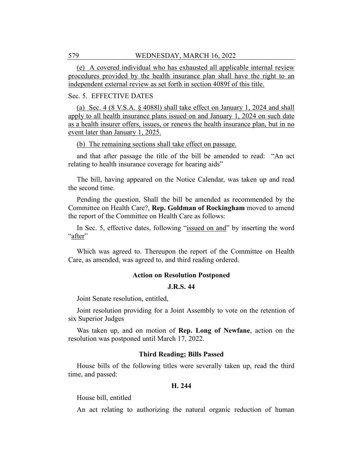(e) A covered individual who has exhausted all applicable internal review procedures provided by the health insurance plan shall have the right to an independent external review as set forth in section 4089f of this title.

## Sec. 5. EFFECTIVE DATES

(a) Sec. 4 (8 V.S.A. § 4088l) shall take effect on January 1, 2024 and shall apply to all health insurance plans issued on and January 1, 2024 on such date as a health insurer offers, issues, or renews the health insurance plan, but in no event later than January 1, 2025.

(b) The remaining sections shall take effect on passage.

and that after passage the title of the bill be amended to read: "An act relating to health insurance coverage for hearing aids"

The bill, having appeared on the Notice Calendar, was taken up and read the second time.

Pending the question, Shall the bill be amended as recommended by the Committee on Health Care?, **Rep. Goldman of Rockingham** moved to amend the report of the Committee on Health Care as follows:

In Sec. 5, effective dates, following "issued on and" by inserting the word "after"

Which was agreed to. Thereupon the report of the Committee on Health Care, as amended, was agreed to, and third reading ordered.

#### **Action on Resolution Postponed**

## **J.R.S. 44**

Joint Senate resolution, entitled,

Joint resolution providing for a Joint Assembly to vote on the retention of six Superior Judges

Was taken up, and on motion of **Rep. Long of Newfane**, action on the resolution was postponed until March 17, 2022.

#### **Third Reading; Bills Passed**

House bills of the following titles were severally taken up, read the third time, and passed:

#### **H. 244**

House bill, entitled

An act relating to authorizing the natural organic reduction of human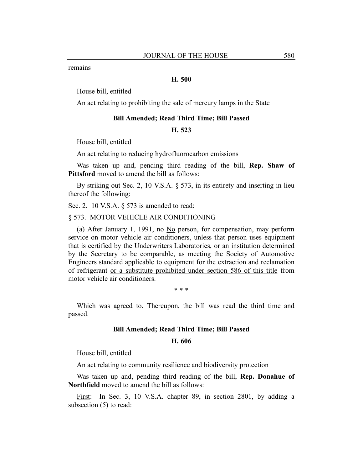remains

## **H. 500**

House bill, entitled

An act relating to prohibiting the sale of mercury lamps in the State

#### **Bill Amended; Read Third Time; Bill Passed**

#### **H. 523**

House bill, entitled

An act relating to reducing hydrofluorocarbon emissions

Was taken up and, pending third reading of the bill, **Rep. Shaw of Pittsford** moved to amend the bill as follows:

By striking out Sec. 2, 10 V.S.A. § 573, in its entirety and inserting in lieu thereof the following:

Sec. 2. 10 V.S.A. § 573 is amended to read:

#### § 573. MOTOR VEHICLE AIR CONDITIONING

(a) After January 1, 1991, no No person, for compensation, may perform service on motor vehicle air conditioners, unless that person uses equipment that is certified by the Underwriters Laboratories, or an institution determined by the Secretary to be comparable, as meeting the Society of Automotive Engineers standard applicable to equipment for the extraction and reclamation of refrigerant or a substitute prohibited under section 586 of this title from motor vehicle air conditioners.

\* \* \*

Which was agreed to. Thereupon, the bill was read the third time and passed.

## **Bill Amended; Read Third Time; Bill Passed**

#### **H. 606**

House bill, entitled

An act relating to community resilience and biodiversity protection

Was taken up and, pending third reading of the bill, **Rep. Donahue of Northfield** moved to amend the bill as follows:

First: In Sec. 3, 10 V.S.A. chapter 89, in section 2801, by adding a subsection (5) to read: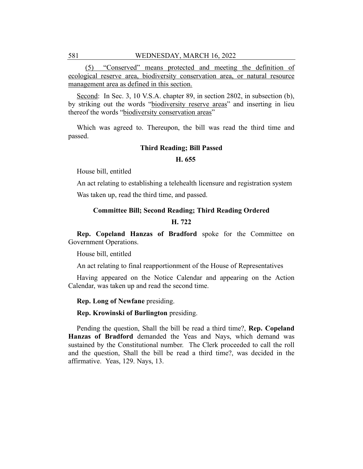(5) "Conserved" means protected and meeting the definition of ecological reserve area, biodiversity conservation area, or natural resource management area as defined in this section.

Second: In Sec. 3, 10 V.S.A. chapter 89, in section 2802, in subsection (b), by striking out the words "biodiversity reserve areas" and inserting in lieu thereof the words "biodiversity conservation areas"

Which was agreed to. Thereupon, the bill was read the third time and passed.

## **Third Reading; Bill Passed**

## **H. 655**

House bill, entitled

An act relating to establishing a telehealth licensure and registration system Was taken up, read the third time, and passed.

#### **Committee Bill; Second Reading; Third Reading Ordered**

## **H. 722**

**Rep. Copeland Hanzas of Bradford** spoke for the Committee on Government Operations.

House bill, entitled

An act relating to final reapportionment of the House of Representatives

Having appeared on the Notice Calendar and appearing on the Action Calendar, was taken up and read the second time.

**Rep. Long of Newfane** presiding.

**Rep. Krowinski of Burlington** presiding.

Pending the question, Shall the bill be read a third time?, **Rep. Copeland Hanzas of Bradford** demanded the Yeas and Nays, which demand was sustained by the Constitutional number. The Clerk proceeded to call the roll and the question, Shall the bill be read a third time?, was decided in the affirmative. Yeas, 129. Nays, 13.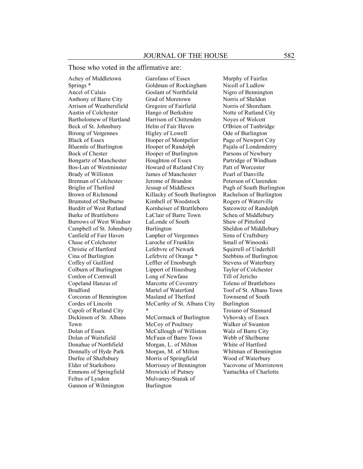Those who voted in the affirmative are:

Achey of Middletown Springs \* Ancel of Calais Anthony of Barre City Arrison of Weathersfield Austin of Colchester Bartholomew of Hartland Beck of St. Johnsbury Birong of Vergennes Black of Essex Bluemle of Burlington Bock of Chester Bongartz of Manchester Bos-Lun of Westminster Brady of Williston Brennan of Colchester Briglin of Thetford Brown of Richmond Brumsted of Shelburne Burditt of West Rutland Burke of Brattleboro Burrows of West Windsor Campbell of St. Johnsbury Canfield of Fair Haven Chase of Colchester Christie of Hartford Cina of Burlington Coffey of Guilford Colburn of Burlington Conlon of Cornwall Copeland Hanzas of Bradford Corcoran of Bennington Cordes of Lincoln Cupoli of Rutland City Dickinson of St. Albans Town Dolan of Essex Dolan of Waitsfield Donahue of Northfield Donnally of Hyde Park Durfee of Shaftsbury Elder of Starksboro Emmons of Springfield Feltus of Lyndon Gannon of Wilmington

Garofano of Essex Goldman of Rockingham Goslant of Northfield Grad of Moretown Gregoire of Fairfield Hango of Berkshire Harrison of Chittenden Helm of Fair Haven Higley of Lowell Hooper of Montpelier Hooper of Randolph Hooper of Burlington Houghton of Essex Howard of Rutland City James of Manchester Jerome of Brandon Jessup of Middlesex Killacky of South Burlington Kimbell of Woodstock Kornheiser of Brattleboro LaClair of Barre Town LaLonde of South Burlington Lanpher of Vergennes Laroche of Franklin Lefebvre of Newark Lefebvre of Orange \* Leffler of Enosburgh Lippert of Hinesburg Long of Newfane Marcotte of Coventry Martel of Waterford Masland of Thetford McCarthy of St. Albans City \* McCormack of Burlington McCoy of Poultney McCullough of Williston

McFaun of Barre Town Morgan, L. of Milton Morgan, M. of Milton Morris of Springfield Morrissey of Bennington Mrowicki of Putney Mulvaney-Stanak of Burlington

Murphy of Fairfax Nicoll of Ludlow Nigro of Bennington Norris of Sheldon Norris of Shoreham Notte of Rutland City Noyes of Wolcott O'Brien of Tunbridge Ode of Burlington Page of Newport City Pajala of Londonderry Parsons of Newbury Partridge of Windham Patt of Worcester Pearl of Danville Peterson of Clarendon Pugh of South Burlington Rachelson of Burlington Rogers of Waterville Satcowitz of Randolph Scheu of Middlebury Shaw of Pittsford Sheldon of Middlebury Sims of Craftsbury Small of Winooski Squirrell of Underhill Stebbins of Burlington Stevens of Waterbury Taylor of Colchester Till of Jericho Toleno of Brattleboro Toof of St. Albans Town Townsend of South Burlington Troiano of Stannard Vyhovsky of Essex Walker of Swanton Walz of Barre City Webb of Shelburne White of Hartford Whitman of Bennington Wood of Waterbury Yacovone of Morristown Yantachka of Charlotte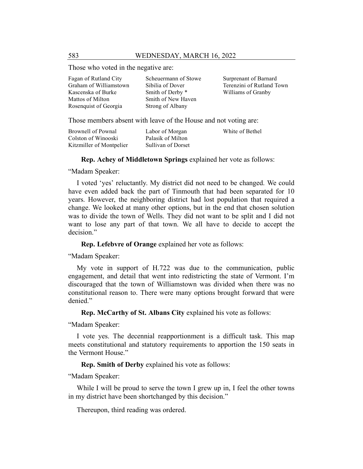Those who voted in the negative are:

| Fagan of Rutland City  | Scheuermann of Stowe | Surprenant of Barnard     |
|------------------------|----------------------|---------------------------|
| Graham of Williamstown | Sibilia of Dover     | Terenzini of Rutland Town |
| Kascenska of Burke     | Smith of Derby *     | Williams of Granby        |
| Mattos of Milton       | Smith of New Haven   |                           |
| Rosenquist of Georgia  | Strong of Albany     |                           |

Those members absent with leave of the House and not voting are:

| Brownell of Pownal       | Labor of Morgan    | White of Bethel |
|--------------------------|--------------------|-----------------|
| Colston of Winooski      | Palasik of Milton  |                 |
| Kitzmiller of Montpelier | Sullivan of Dorset |                 |

**Rep. Achey of Middletown Springs** explained her vote as follows:

"Madam Speaker:

I voted 'yes' reluctantly. My district did not need to be changed. We could have even added back the part of Tinmouth that had been separated for 10 years. However, the neighboring district had lost population that required a change. We looked at many other options, but in the end that chosen solution was to divide the town of Wells. They did not want to be split and I did not want to lose any part of that town. We all have to decide to accept the decision."

**Rep. Lefebvre of Orange** explained her vote as follows:

"Madam Speaker:

My vote in support of H.722 was due to the communication, public engagement, and detail that went into redistricting the state of Vermont. I'm discouraged that the town of Williamstown was divided when there was no constitutional reason to. There were many options brought forward that were denied."

**Rep. McCarthy of St. Albans City** explained his vote as follows:

"Madam Speaker:

I vote yes. The decennial reapportionment is a difficult task. This map meets constitutional and statutory requirements to apportion the 150 seats in the Vermont House."

**Rep. Smith of Derby** explained his vote as follows:

"Madam Speaker:

While I will be proud to serve the town I grew up in, I feel the other towns in my district have been shortchanged by this decision."

Thereupon, third reading was ordered.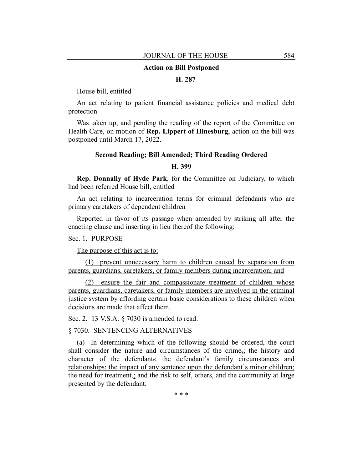#### **Action on Bill Postponed**

## **H. 287**

House bill, entitled

An act relating to patient financial assistance policies and medical debt protection

Was taken up, and pending the reading of the report of the Committee on Health Care, on motion of **Rep. Lippert of Hinesburg**, action on the bill was postponed until March 17, 2022.

## **Second Reading; Bill Amended; Third Reading Ordered**

## **H. 399**

**Rep. Donnally of Hyde Park**, for the Committee on Judiciary, to which had been referred House bill, entitled

An act relating to incarceration terms for criminal defendants who are primary caretakers of dependent children

Reported in favor of its passage when amended by striking all after the enacting clause and inserting in lieu thereof the following:

Sec. 1. PURPOSE

The purpose of this act is to:

(1) prevent unnecessary harm to children caused by separation from parents, guardians, caretakers, or family members during incarceration; and

(2) ensure the fair and compassionate treatment of children whose parents, guardians, caretakers, or family members are involved in the criminal justice system by affording certain basic considerations to these children when decisions are made that affect them.

Sec. 2. 13 V.S.A. § 7030 is amended to read:

§ 7030. SENTENCING ALTERNATIVES

(a) In determining which of the following should be ordered, the court shall consider the nature and circumstances of the crime<sub> $\tau$ </sub>; the history and character of the defendant,; the defendant's family circumstances and relationships; the impact of any sentence upon the defendant's minor children; the need for treatment<sub> $\bar{x}$ </sub> and the risk to self, others, and the community at large presented by the defendant:

\* \* \*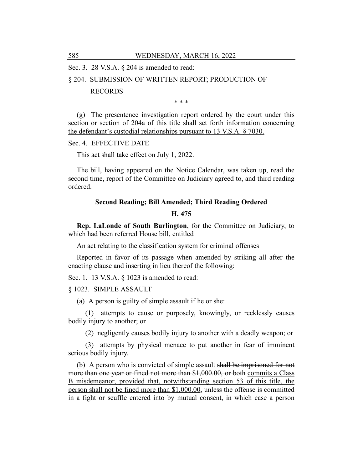Sec. 3. 28 V.S.A. § 204 is amended to read:

## § 204. SUBMISSION OF WRITTEN REPORT; PRODUCTION OF

## RECORDS

\* \* \*

(g) The presentence investigation report ordered by the court under this section or section of 204a of this title shall set forth information concerning the defendant's custodial relationships pursuant to 13 V.S.A. § 7030.

#### Sec. 4. EFFECTIVE DATE

#### This act shall take effect on July 1, 2022.

The bill, having appeared on the Notice Calendar, was taken up, read the second time, report of the Committee on Judiciary agreed to, and third reading ordered.

## **Second Reading; Bill Amended; Third Reading Ordered**

#### **H. 475**

**Rep. LaLonde of South Burlington**, for the Committee on Judiciary, to which had been referred House bill, entitled

An act relating to the classification system for criminal offenses

Reported in favor of its passage when amended by striking all after the enacting clause and inserting in lieu thereof the following:

Sec. 1. 13 V.S.A. § 1023 is amended to read:

## § 1023. SIMPLE ASSAULT

(a) A person is guilty of simple assault if he or she:

(1) attempts to cause or purposely, knowingly, or recklessly causes bodily injury to another; or

(2) negligently causes bodily injury to another with a deadly weapon; or

(3) attempts by physical menace to put another in fear of imminent serious bodily injury.

(b) A person who is convicted of simple assault shall be imprisoned for not more than one year or fined not more than \$1,000.00, or both commits a Class B misdemeanor, provided that, notwithstanding section 53 of this title, the person shall not be fined more than \$1,000.00, unless the offense is committed in a fight or scuffle entered into by mutual consent, in which case a person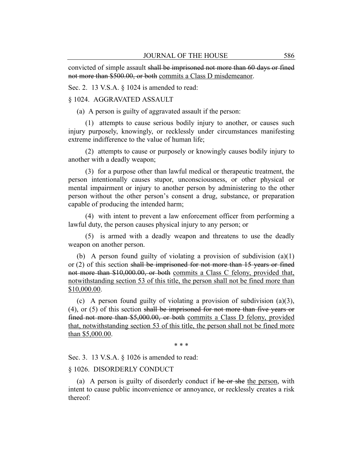convicted of simple assault shall be imprisoned not more than 60 days or fined not more than \$500.00, or both commits a Class D misdemeanor.

Sec. 2. 13 V.S.A. § 1024 is amended to read:

## § 1024. AGGRAVATED ASSAULT

(a) A person is guilty of aggravated assault if the person:

(1) attempts to cause serious bodily injury to another, or causes such injury purposely, knowingly, or recklessly under circumstances manifesting extreme indifference to the value of human life;

(2) attempts to cause or purposely or knowingly causes bodily injury to another with a deadly weapon;

(3) for a purpose other than lawful medical or therapeutic treatment, the person intentionally causes stupor, unconsciousness, or other physical or mental impairment or injury to another person by administering to the other person without the other person's consent a drug, substance, or preparation capable of producing the intended harm;

(4) with intent to prevent a law enforcement officer from performing a lawful duty, the person causes physical injury to any person; or

(5) is armed with a deadly weapon and threatens to use the deadly weapon on another person.

(b) A person found guilty of violating a provision of subdivision (a)(1) or (2) of this section shall be imprisoned for not more than 15 years or fined not more than \$10,000.00, or both commits a Class C felony, provided that, notwithstanding section 53 of this title, the person shall not be fined more than \$10,000.00.

(c) A person found guilty of violating a provision of subdivision (a)(3), (4), or (5) of this section shall be imprisoned for not more than five years or fined not more than \$5,000.00, or both commits a Class D felony, provided that, notwithstanding section 53 of this title, the person shall not be fined more than \$5,000.00.

\* \* \*

Sec. 3. 13 V.S.A. § 1026 is amended to read:

## § 1026. DISORDERLY CONDUCT

(a) A person is guilty of disorderly conduct if he or she the person, with intent to cause public inconvenience or annoyance, or recklessly creates a risk thereof: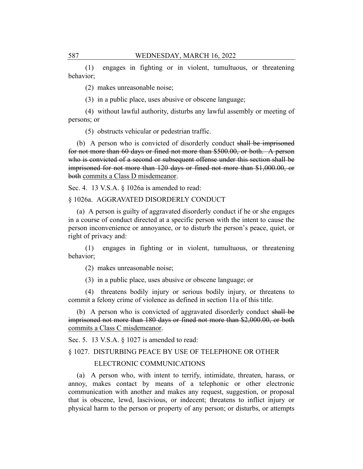(1) engages in fighting or in violent, tumultuous, or threatening behavior;

(2) makes unreasonable noise;

(3) in a public place, uses abusive or obscene language;

(4) without lawful authority, disturbs any lawful assembly or meeting of persons; or

(5) obstructs vehicular or pedestrian traffic.

(b) A person who is convicted of disorderly conduct shall be imprisoned for not more than 60 days or fined not more than \$500.00, or both. A person who is convicted of a second or subsequent offense under this section shall be imprisoned for not more than 120 days or fined not more than \$1,000.00, or both commits a Class D misdemeanor.

Sec. 4. 13 V.S.A. § 1026a is amended to read:

§ 1026a. AGGRAVATED DISORDERLY CONDUCT

(a) A person is guilty of aggravated disorderly conduct if he or she engages in a course of conduct directed at a specific person with the intent to cause the person inconvenience or annoyance, or to disturb the person's peace, quiet, or right of privacy and:

(1) engages in fighting or in violent, tumultuous, or threatening behavior;

(2) makes unreasonable noise;

(3) in a public place, uses abusive or obscene language; or

(4) threatens bodily injury or serious bodily injury, or threatens to commit a felony crime of violence as defined in section 11a of this title.

(b) A person who is convicted of aggravated disorderly conduct shall be imprisoned not more than 180 days or fined not more than \$2,000.00, or both commits a Class C misdemeanor.

Sec. 5. 13 V.S.A. § 1027 is amended to read:

§ 1027. DISTURBING PEACE BY USE OF TELEPHONE OR OTHER

## ELECTRONIC COMMUNICATIONS

(a) A person who, with intent to terrify, intimidate, threaten, harass, or annoy, makes contact by means of a telephonic or other electronic communication with another and makes any request, suggestion, or proposal that is obscene, lewd, lascivious, or indecent; threatens to inflict injury or physical harm to the person or property of any person; or disturbs, or attempts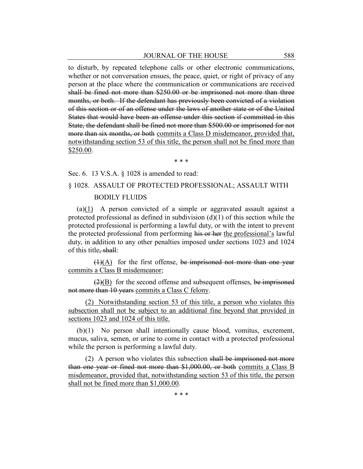to disturb, by repeated telephone calls or other electronic communications, whether or not conversation ensues, the peace, quiet, or right of privacy of any person at the place where the communication or communications are received shall be fined not more than \$250.00 or be imprisoned not more than three months, or both. If the defendant has previously been convicted of a violation of this section or of an offense under the laws of another state or of the United States that would have been an offense under this section if committed in this State, the defendant shall be fined not more than \$500.00 or imprisoned for not more than six months, or both commits a Class D misdemeanor, provided that, notwithstanding section 53 of this title, the person shall not be fined more than \$250.00.

\* \* \*

Sec. 6. 13 V.S.A. § 1028 is amended to read:

# § 1028. ASSAULT OF PROTECTED PROFESSIONAL; ASSAULT WITH BODILY FLUIDS

(a)(1) A person convicted of a simple or aggravated assault against a protected professional as defined in subdivision  $(d)(1)$  of this section while the protected professional is performing a lawful duty, or with the intent to prevent the protected professional from performing his or her the professional's lawful duty, in addition to any other penalties imposed under sections 1023 and 1024 of this title, shall:

 $(1)(A)$  for the first offense, be imprisoned not more than one year commits a Class B misdemeanor;

 $(2)(B)$  for the second offense and subsequent offenses, be imprisoned not more than 10 years commits a Class C felony.

(2) Notwithstanding section 53 of this title, a person who violates this subsection shall not be subject to an additional fine beyond that provided in sections 1023 and 1024 of this title.

(b)(1) No person shall intentionally cause blood, vomitus, excrement, mucus, saliva, semen, or urine to come in contact with a protected professional while the person is performing a lawful duty.

(2) A person who violates this subsection shall be imprisoned not more than one year or fined not more than \$1,000.00, or both commits a Class B misdemeanor, provided that, notwithstanding section 53 of this title, the person shall not be fined more than \$1,000.00.

\* \* \*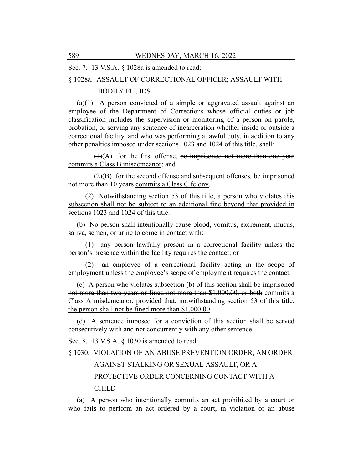Sec. 7. 13 V.S.A. § 1028a is amended to read:

#### § 1028a. ASSAULT OF CORRECTIONAL OFFICER; ASSAULT WITH

## BODILY FLUIDS

 $(a)(1)$  A person convicted of a simple or aggravated assault against an employee of the Department of Corrections whose official duties or job classification includes the supervision or monitoring of a person on parole, probation, or serving any sentence of incarceration whether inside or outside a correctional facility, and who was performing a lawful duty, in addition to any other penalties imposed under sections 1023 and 1024 of this title, shall:

 $(1)(A)$  for the first offense, be imprisoned not more than one year commits a Class B misdemeanor; and

 $(2)(B)$  for the second offense and subsequent offenses, be imprisoned not more than 10 years commits a Class C felony.

(2) Notwithstanding section 53 of this title, a person who violates this subsection shall not be subject to an additional fine beyond that provided in sections 1023 and 1024 of this title.

(b) No person shall intentionally cause blood, vomitus, excrement, mucus, saliva, semen, or urine to come in contact with:

(1) any person lawfully present in a correctional facility unless the person's presence within the facility requires the contact; or

(2) an employee of a correctional facility acting in the scope of employment unless the employee's scope of employment requires the contact.

(c) A person who violates subsection (b) of this section shall be imprisoned not more than two years or fined not more than \$1,000.00, or both commits a Class A misdemeanor, provided that, notwithstanding section 53 of this title, the person shall not be fined more than \$1,000.00.

(d) A sentence imposed for a conviction of this section shall be served consecutively with and not concurrently with any other sentence.

Sec. 8. 13 V.S.A. § 1030 is amended to read:

§ 1030. VIOLATION OF AN ABUSE PREVENTION ORDER, AN ORDER AGAINST STALKING OR SEXUAL ASSAULT, OR A PROTECTIVE ORDER CONCERNING CONTACT WITH A CHILD

(a) A person who intentionally commits an act prohibited by a court or who fails to perform an act ordered by a court, in violation of an abuse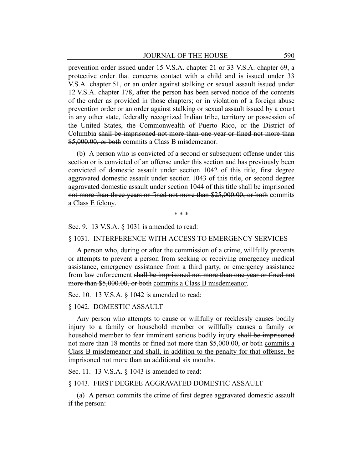prevention order issued under 15 V.S.A. chapter 21 or 33 V.S.A. chapter 69, a protective order that concerns contact with a child and is issued under 33 V.S.A. chapter 51, or an order against stalking or sexual assault issued under 12 V.S.A. chapter 178, after the person has been served notice of the contents of the order as provided in those chapters; or in violation of a foreign abuse prevention order or an order against stalking or sexual assault issued by a court in any other state, federally recognized Indian tribe, territory or possession of the United States, the Commonwealth of Puerto Rico, or the District of Columbia shall be imprisoned not more than one year or fined not more than \$5,000.00, or both commits a Class B misdemeanor.

(b) A person who is convicted of a second or subsequent offense under this section or is convicted of an offense under this section and has previously been convicted of domestic assault under section 1042 of this title, first degree aggravated domestic assault under section 1043 of this title, or second degree aggravated domestic assault under section 1044 of this title shall be imprisoned not more than three years or fined not more than \$25,000.00, or both commits a Class E felony.

\* \* \*

Sec. 9. 13 V.S.A. § 1031 is amended to read:

#### § 1031. INTERFERENCE WITH ACCESS TO EMERGENCY SERVICES

A person who, during or after the commission of a crime, willfully prevents or attempts to prevent a person from seeking or receiving emergency medical assistance, emergency assistance from a third party, or emergency assistance from law enforcement shall be imprisoned not more than one year or fined not more than \$5,000.00, or both commits a Class B misdemeanor.

Sec. 10. 13 V.S.A. § 1042 is amended to read:

## § 1042. DOMESTIC ASSAULT

Any person who attempts to cause or willfully or recklessly causes bodily injury to a family or household member or willfully causes a family or household member to fear imminent serious bodily injury shall be imprisoned not more than 18 months or fined not more than \$5,000.00, or both commits a Class B misdemeanor and shall, in addition to the penalty for that offense, be imprisoned not more than an additional six months.

Sec. 11. 13 V.S.A. § 1043 is amended to read:

## § 1043. FIRST DEGREE AGGRAVATED DOMESTIC ASSAULT

(a) A person commits the crime of first degree aggravated domestic assault if the person: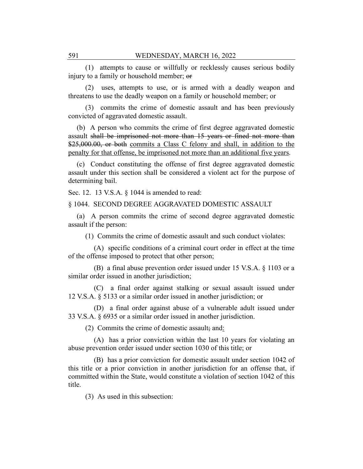(1) attempts to cause or willfully or recklessly causes serious bodily injury to a family or household member; or

(2) uses, attempts to use, or is armed with a deadly weapon and threatens to use the deadly weapon on a family or household member; or

(3) commits the crime of domestic assault and has been previously convicted of aggravated domestic assault.

(b) A person who commits the crime of first degree aggravated domestic assault shall be imprisoned not more than 15 years or fined not more than \$25,000.00, or both commits a Class C felony and shall, in addition to the penalty for that offense, be imprisoned not more than an additional five years.

(c) Conduct constituting the offense of first degree aggravated domestic assault under this section shall be considered a violent act for the purpose of determining bail.

Sec. 12. 13 V.S.A. § 1044 is amended to read:

## § 1044. SECOND DEGREE AGGRAVATED DOMESTIC ASSAULT

(a) A person commits the crime of second degree aggravated domestic assault if the person:

(1) Commits the crime of domestic assault and such conduct violates:

(A) specific conditions of a criminal court order in effect at the time of the offense imposed to protect that other person;

(B) a final abuse prevention order issued under 15 V.S.A. § 1103 or a similar order issued in another jurisdiction;

(C) a final order against stalking or sexual assault issued under 12 V.S.A. § 5133 or a similar order issued in another jurisdiction; or

(D) a final order against abuse of a vulnerable adult issued under 33 V.S.A. § 6935 or a similar order issued in another jurisdiction.

(2) Commits the crime of domestic assault; and:

(A) has a prior conviction within the last 10 years for violating an abuse prevention order issued under section 1030 of this title; or

(B) has a prior conviction for domestic assault under section 1042 of this title or a prior conviction in another jurisdiction for an offense that, if committed within the State, would constitute a violation of section 1042 of this title.

(3) As used in this subsection: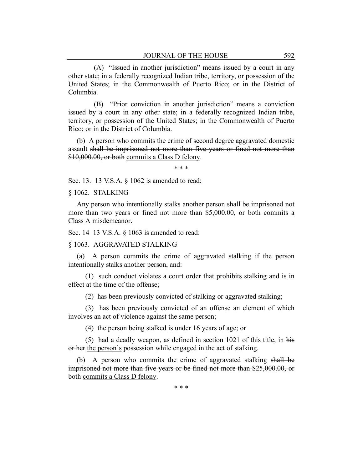(A) "Issued in another jurisdiction" means issued by a court in any other state; in a federally recognized Indian tribe, territory, or possession of the United States; in the Commonwealth of Puerto Rico; or in the District of Columbia.

(B) "Prior conviction in another jurisdiction" means a conviction issued by a court in any other state; in a federally recognized Indian tribe, territory, or possession of the United States; in the Commonwealth of Puerto Rico; or in the District of Columbia.

(b) A person who commits the crime of second degree aggravated domestic assault shall be imprisoned not more than five years or fined not more than \$10,000.00, or both commits a Class D felony.

\* \* \*

Sec. 13. 13 V.S.A. § 1062 is amended to read:

§ 1062. STALKING

Any person who intentionally stalks another person shall be imprisoned not more than two years or fined not more than \$5,000.00, or both commits a Class A misdemeanor.

Sec. 14 13 V.S.A. § 1063 is amended to read:

## § 1063. AGGRAVATED STALKING

(a) A person commits the crime of aggravated stalking if the person intentionally stalks another person, and:

(1) such conduct violates a court order that prohibits stalking and is in effect at the time of the offense;

(2) has been previously convicted of stalking or aggravated stalking;

(3) has been previously convicted of an offense an element of which involves an act of violence against the same person;

(4) the person being stalked is under 16 years of age; or

(5) had a deadly weapon, as defined in section 1021 of this title, in his or her the person's possession while engaged in the act of stalking.

(b) A person who commits the crime of aggravated stalking shall be imprisoned not more than five years or be fined not more than \$25,000.00, or both commits a Class D felony.

\* \* \*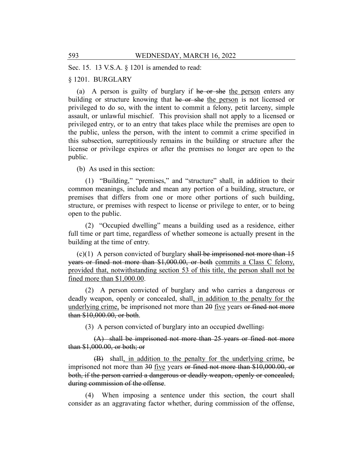Sec. 15. 13 V.S.A. § 1201 is amended to read:

## § 1201. BURGLARY

(a) A person is guilty of burglary if he or she the person enters any building or structure knowing that he or she the person is not licensed or privileged to do so, with the intent to commit a felony, petit larceny, simple assault, or unlawful mischief. This provision shall not apply to a licensed or privileged entry, or to an entry that takes place while the premises are open to the public, unless the person, with the intent to commit a crime specified in this subsection, surreptitiously remains in the building or structure after the license or privilege expires or after the premises no longer are open to the public.

(b) As used in this section:

(1) "Building," "premises," and "structure" shall, in addition to their common meanings, include and mean any portion of a building, structure, or premises that differs from one or more other portions of such building, structure, or premises with respect to license or privilege to enter, or to being open to the public.

(2) "Occupied dwelling" means a building used as a residence, either full time or part time, regardless of whether someone is actually present in the building at the time of entry.

 $(c)(1)$  A person convicted of burglary shall be imprisoned not more than 15 years or fined not more than \$1,000.00, or both commits a Class C felony, provided that, notwithstanding section 53 of this title, the person shall not be fined more than \$1,000.00.

(2) A person convicted of burglary and who carries a dangerous or deadly weapon, openly or concealed, shall, in addition to the penalty for the underlying crime, be imprisoned not more than 20 five years or fined not more than \$10,000.00, or both.

(3) A person convicted of burglary into an occupied dwelling:

(A) shall be imprisoned not more than 25 years or fined not more than \$1,000.00, or both; or

(B) shall, in addition to the penalty for the underlying crime, be imprisoned not more than 30 five years or fined not more than \$10,000.00, or both, if the person carried a dangerous or deadly weapon, openly or concealed, during commission of the offense.

(4) When imposing a sentence under this section, the court shall consider as an aggravating factor whether, during commission of the offense,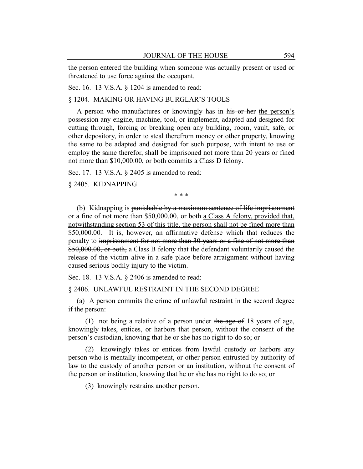the person entered the building when someone was actually present or used or threatened to use force against the occupant.

Sec. 16. 13 V.S.A. § 1204 is amended to read:

§ 1204. MAKING OR HAVING BURGLAR'S TOOLS

A person who manufactures or knowingly has in his or her the person's possession any engine, machine, tool, or implement, adapted and designed for cutting through, forcing or breaking open any building, room, vault, safe, or other depository, in order to steal therefrom money or other property, knowing the same to be adapted and designed for such purpose, with intent to use or employ the same therefor, shall be imprisoned not more than 20 years or fined not more than \$10,000.00, or both commits a Class D felony.

Sec. 17. 13 V.S.A. § 2405 is amended to read:

§ 2405. KIDNAPPING

\* \* \*

(b) Kidnapping is punishable by a maximum sentence of life imprisonment or a fine of not more than \$50,000.00, or both a Class A felony, provided that, notwithstanding section 53 of this title, the person shall not be fined more than \$50,000.00. It is, however, an affirmative defense which that reduces the penalty to imprisonment for not more than 30 years or a fine of not more than \$50,000.00, or both, a Class B felony that the defendant voluntarily caused the release of the victim alive in a safe place before arraignment without having caused serious bodily injury to the victim.

Sec. 18. 13 V.S.A. § 2406 is amended to read:

§ 2406. UNLAWFUL RESTRAINT IN THE SECOND DEGREE

(a) A person commits the crime of unlawful restraint in the second degree if the person:

(1) not being a relative of a person under the age of 18 years of age, knowingly takes, entices, or harbors that person, without the consent of the person's custodian, knowing that he or she has no right to do so; or

(2) knowingly takes or entices from lawful custody or harbors any person who is mentally incompetent, or other person entrusted by authority of law to the custody of another person or an institution, without the consent of the person or institution, knowing that he or she has no right to do so; or

(3) knowingly restrains another person.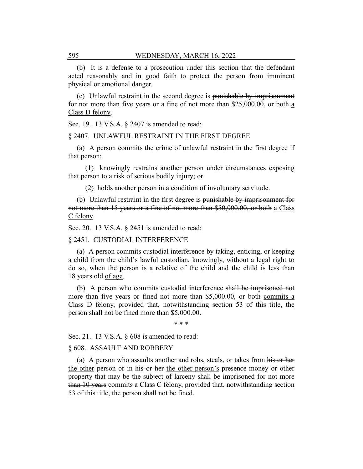(b) It is a defense to a prosecution under this section that the defendant acted reasonably and in good faith to protect the person from imminent physical or emotional danger.

(c) Unlawful restraint in the second degree is punishable by imprisonment for not more than five years or a fine of not more than \$25,000.00, or both a Class D felony.

Sec. 19. 13 V.S.A. § 2407 is amended to read:

#### § 2407. UNLAWFUL RESTRAINT IN THE FIRST DEGREE

(a) A person commits the crime of unlawful restraint in the first degree if that person:

(1) knowingly restrains another person under circumstances exposing that person to a risk of serious bodily injury; or

(2) holds another person in a condition of involuntary servitude.

(b) Unlawful restraint in the first degree is punishable by imprisonment for not more than 15 years or a fine of not more than \$50,000.00, or both a Class C felony.

Sec. 20. 13 V.S.A. § 2451 is amended to read:

§ 2451. CUSTODIAL INTERFERENCE

(a) A person commits custodial interference by taking, enticing, or keeping a child from the child's lawful custodian, knowingly, without a legal right to do so, when the person is a relative of the child and the child is less than 18 years old of age.

(b) A person who commits custodial interference shall be imprisoned not more than five years or fined not more than \$5,000.00, or both commits a Class D felony, provided that, notwithstanding section 53 of this title, the person shall not be fined more than \$5,000.00.

\* \* \*

Sec. 21. 13 V.S.A. § 608 is amended to read:

## § 608. ASSAULT AND ROBBERY

(a) A person who assaults another and robs, steals, or takes from his or her the other person or in his or her the other person's presence money or other property that may be the subject of larceny shall be imprisoned for not more than 10 years commits a Class C felony, provided that, notwithstanding section 53 of this title, the person shall not be fined.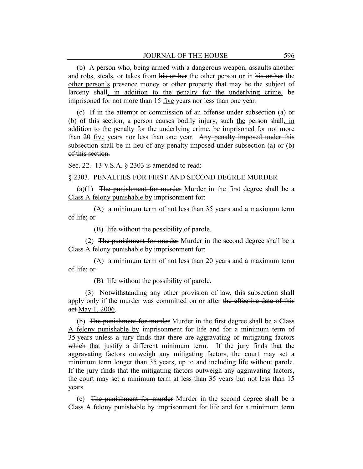(b) A person who, being armed with a dangerous weapon, assaults another and robs, steals, or takes from his or her the other person or in his or her the other person's presence money or other property that may be the subject of larceny shall, in addition to the penalty for the underlying crime, be imprisoned for not more than  $15$  five years nor less than one year.

(c) If in the attempt or commission of an offense under subsection (a) or (b) of this section, a person causes bodily injury, such the person shall, in addition to the penalty for the underlying crime, be imprisoned for not more than 20 five years nor less than one year. Any penalty imposed under this subsection shall be in lieu of any penalty imposed under subsection (a) or (b) of this section.

Sec. 22. 13 V.S.A. § 2303 is amended to read:

## § 2303. PENALTIES FOR FIRST AND SECOND DEGREE MURDER

(a)(1) The punishment for murder Murder in the first degree shall be  $\underline{a}$ Class A felony punishable by imprisonment for:

(A) a minimum term of not less than 35 years and a maximum term of life; or

(B) life without the possibility of parole.

(2) The punishment for murder Murder in the second degree shall be  $\underline{a}$ Class A felony punishable by imprisonment for:

(A) a minimum term of not less than 20 years and a maximum term of life; or

(B) life without the possibility of parole.

(3) Notwithstanding any other provision of law, this subsection shall apply only if the murder was committed on or after the effective date of this act May 1, 2006.

(b) The punishment for murder Murder in the first degree shall be a Class A felony punishable by imprisonment for life and for a minimum term of 35 years unless a jury finds that there are aggravating or mitigating factors which that justify a different minimum term. If the jury finds that the aggravating factors outweigh any mitigating factors, the court may set a minimum term longer than 35 years, up to and including life without parole. If the jury finds that the mitigating factors outweigh any aggravating factors, the court may set a minimum term at less than 35 years but not less than 15 years.

(c) The punishment for murder Murder in the second degree shall be  $\underline{a}$ Class A felony punishable by imprisonment for life and for a minimum term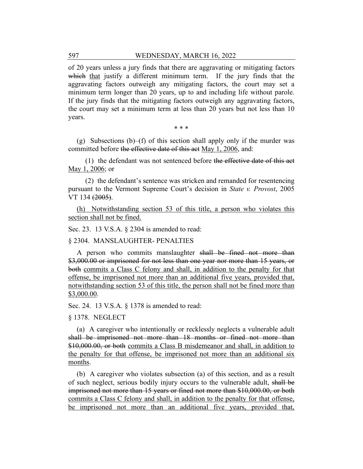of 20 years unless a jury finds that there are aggravating or mitigating factors which that justify a different minimum term. If the jury finds that the aggravating factors outweigh any mitigating factors, the court may set a minimum term longer than 20 years, up to and including life without parole. If the jury finds that the mitigating factors outweigh any aggravating factors, the court may set a minimum term at less than 20 years but not less than 10 years.

\* \* \*

(g) Subsections (b)–(f) of this section shall apply only if the murder was committed before the effective date of this act May 1, 2006, and:

 $(1)$  the defendant was not sentenced before the effective date of this act May 1, 2006; or

(2) the defendant's sentence was stricken and remanded for resentencing pursuant to the Vermont Supreme Court's decision in *State v. Provost*, 2005 VT 134 (2005).

(h) Notwithstanding section 53 of this title, a person who violates this section shall not be fined.

Sec. 23. 13 V.S.A. § 2304 is amended to read:

§ 2304. MANSLAUGHTER- PENALTIES

A person who commits manslaughter shall be fined not more than \$3,000.00 or imprisoned for not less than one year nor more than 15 years, or both commits a Class C felony and shall, in addition to the penalty for that offense, be imprisoned not more than an additional five years, provided that, notwithstanding section 53 of this title, the person shall not be fined more than \$3,000.00.

Sec. 24. 13 V.S.A. § 1378 is amended to read:

§ 1378. NEGLECT

(a) A caregiver who intentionally or recklessly neglects a vulnerable adult shall be imprisoned not more than 18 months or fined not more than \$10,000.00, or both commits a Class B misdemeanor and shall, in addition to the penalty for that offense, be imprisoned not more than an additional six months.

(b) A caregiver who violates subsection (a) of this section, and as a result of such neglect, serious bodily injury occurs to the vulnerable adult, shall be imprisoned not more than 15 years or fined not more than \$10,000.00, or both commits a Class C felony and shall, in addition to the penalty for that offense, be imprisoned not more than an additional five years, provided that,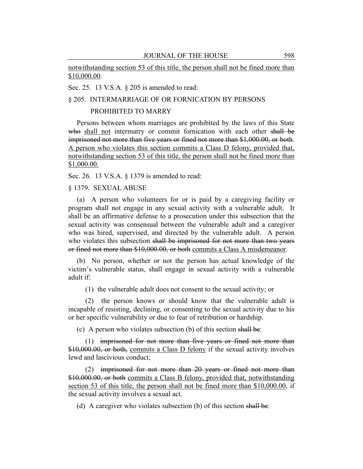notwithstanding section 53 of this title, the person shall not be fined more than \$10,000.00.

Sec. 25. 13 V.S.A. § 205 is amended to read:

## § 205. INTERMARRIAGE OF OR FORNICATION BY PERSONS

## PROHIBITED TO MARRY

Persons between whom marriages are prohibited by the laws of this State who shall not intermarry or commit fornication with each other shall be imprisoned not more than five years or fined not more than \$1,000.00, or both. A person who violates this section commits a Class D felony, provided that, notwithstanding section 53 of this title, the person shall not be fined more than \$1,000.00.

Sec. 26. 13 V.S.A. § 1379 is amended to read:

§ 1379. SEXUAL ABUSE

(a) A person who volunteers for or is paid by a caregiving facility or program shall not engage in any sexual activity with a vulnerable adult. It shall be an affirmative defense to a prosecution under this subsection that the sexual activity was consensual between the vulnerable adult and a caregiver who was hired, supervised, and directed by the vulnerable adult. A person who violates this subsection shall be imprisoned for not more than two years or fined not more than \$10,000.00, or both commits a Class A misdemeanor.

(b) No person, whether or not the person has actual knowledge of the victim's vulnerable status, shall engage in sexual activity with a vulnerable adult if:

(1) the vulnerable adult does not consent to the sexual activity; or

(2) the person knows or should know that the vulnerable adult is incapable of resisting, declining, or consenting to the sexual activity due to his or her specific vulnerability or due to fear of retribution or hardship.

(c) A person who violates subsection (b) of this section shall be:

(1) imprisoned for not more than five years or fined not more than \$10,000.00, or both, commits a Class D felony if the sexual activity involves lewd and lascivious conduct;

(2) imprisoned for not more than 20 years or fined not more than \$10,000.00, or both commits a Class B felony, provided that, notwithstanding section 53 of this title, the person shall not be fined more than \$10,000.00, if the sexual activity involves a sexual act.

(d) A caregiver who violates subsection (b) of this section shall be: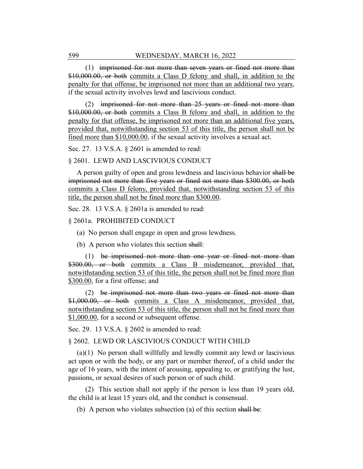(1) imprisoned for not more than seven years or fined not more than \$10,000.00, or both commits a Class D felony and shall, in addition to the penalty for that offense, be imprisoned not more than an additional two years, if the sexual activity involves lewd and lascivious conduct.

(2) imprisoned for not more than 25 years or fined not more than \$10,000.00, or both commits a Class B felony and shall, in addition to the penalty for that offense, be imprisoned not more than an additional five years, provided that, notwithstanding section 53 of this title, the person shall not be fined more than \$10,000.00, if the sexual activity involves a sexual act.

Sec. 27. 13 V.S.A. § 2601 is amended to read:

#### § 2601. LEWD AND LASCIVIOUS CONDUCT

A person guilty of open and gross lewdness and lascivious behavior shall be imprisoned not more than five years or fined not more than \$300.00, or both commits a Class D felony, provided that, notwithstanding section 53 of this title, the person shall not be fined more than \$300.00.

Sec. 28. 13 V.S.A. § 2601a is amended to read:

#### § 2601a. PROHIBITED CONDUCT

(a) No person shall engage in open and gross lewdness.

(b) A person who violates this section shall:

(1) be imprisoned not more than one year or fined not more than \$300.00, or both commits a Class B misdemeanor, provided that, notwithstanding section 53 of this title, the person shall not be fined more than \$300.00, for a first offense; and

(2) be imprisoned not more than two years or fined not more than \$1,000.00, or both commits a Class A misdemeanor, provided that, notwithstanding section 53 of this title, the person shall not be fined more than \$1,000.00, for a second or subsequent offense.

Sec. 29. 13 V.S.A. § 2602 is amended to read:

#### § 2602. LEWD OR LASCIVIOUS CONDUCT WITH CHILD

(a)(1) No person shall willfully and lewdly commit any lewd or lascivious act upon or with the body, or any part or member thereof, of a child under the age of 16 years, with the intent of arousing, appealing to, or gratifying the lust, passions, or sexual desires of such person or of such child.

(2) This section shall not apply if the person is less than 19 years old, the child is at least 15 years old, and the conduct is consensual.

(b) A person who violates subsection (a) of this section shall be: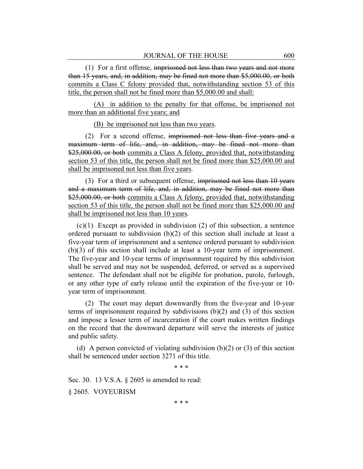(1) For a first offense, imprisoned not less than two years and not more than 15 years, and, in addition, may be fined not more than \$5,000.00, or both commits a Class C felony provided that, notwithstanding section 53 of this title, the person shall not be fined more than \$5,000.00 and shall:

(A) in addition to the penalty for that offense, be imprisoned not more than an additional five years; and

(B) be imprisoned not less than two years.

(2) For a second offense, imprisoned not less than five years and a maximum term of life, and, in addition, may be fined not more than \$25,000.00, or both commits a Class A felony, provided that, notwithstanding section 53 of this title, the person shall not be fined more than \$25,000.00 and shall be imprisoned not less than five years.

(3) For a third or subsequent offense, imprisoned not less than 10 years and a maximum term of life, and, in addition, may be fined not more than \$25,000.00, or both commits a Class A felony, provided that, notwithstanding section 53 of this title, the person shall not be fined more than \$25,000.00 and shall be imprisoned not less than 10 years.

(c)(1) Except as provided in subdivision (2) of this subsection, a sentence ordered pursuant to subdivision  $(b)(2)$  of this section shall include at least a five-year term of imprisonment and a sentence ordered pursuant to subdivision (b)(3) of this section shall include at least a 10-year term of imprisonment. The five-year and 10-year terms of imprisonment required by this subdivision shall be served and may not be suspended, deferred, or served as a supervised sentence. The defendant shall not be eligible for probation, parole, furlough, or any other type of early release until the expiration of the five-year or 10 year term of imprisonment.

(2) The court may depart downwardly from the five-year and 10-year terms of imprisonment required by subdivisions (b)(2) and (3) of this section and impose a lesser term of incarceration if the court makes written findings on the record that the downward departure will serve the interests of justice and public safety.

(d) A person convicted of violating subdivision  $(b)(2)$  or  $(3)$  of this section shall be sentenced under section 3271 of this title.

\* \* \*

Sec. 30. 13 V.S.A. § 2605 is amended to read:

§ 2605. VOYEURISM

\* \* \*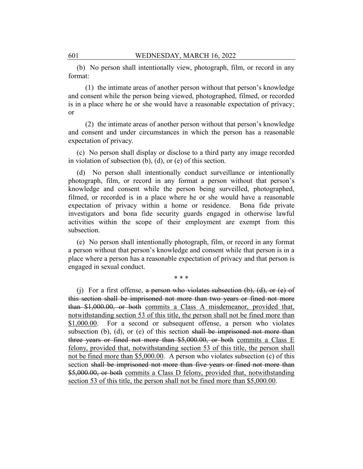(b) No person shall intentionally view, photograph, film, or record in any format:

(1) the intimate areas of another person without that person's knowledge and consent while the person being viewed, photographed, filmed, or recorded is in a place where he or she would have a reasonable expectation of privacy; or

(2) the intimate areas of another person without that person's knowledge and consent and under circumstances in which the person has a reasonable expectation of privacy.

(c) No person shall display or disclose to a third party any image recorded in violation of subsection (b), (d), or (e) of this section.

(d) No person shall intentionally conduct surveillance or intentionally photograph, film, or record in any format a person without that person's knowledge and consent while the person being surveilled, photographed, filmed, or recorded is in a place where he or she would have a reasonable expectation of privacy within a home or residence. Bona fide private investigators and bona fide security guards engaged in otherwise lawful activities within the scope of their employment are exempt from this subsection.

(e) No person shall intentionally photograph, film, or record in any format a person without that person's knowledge and consent while that person is in a place where a person has a reasonable expectation of privacy and that person is engaged in sexual conduct.

\* \* \*

(i) For a first offense, a person who violates subsection  $(b)$ ,  $(d)$ , or  $(e)$  of this section shall be imprisoned not more than two years or fined not more than \$1,000.00, or both commits a Class A misdemeanor, provided that, notwithstanding section 53 of this title, the person shall not be fined more than \$1,000.00. For a second or subsequent offense, a person who violates subsection (b), (d), or (e) of this section shall be imprisoned not more than three years or fined not more than \$5,000.00, or both commits a Class E felony, provided that, notwithstanding section 53 of this title, the person shall not be fined more than \$5,000.00. A person who violates subsection (c) of this section shall be imprisoned not more than five years or fined not more than \$5,000.00, or both commits a Class D felony, provided that, notwithstanding section 53 of this title, the person shall not be fined more than \$5,000.00.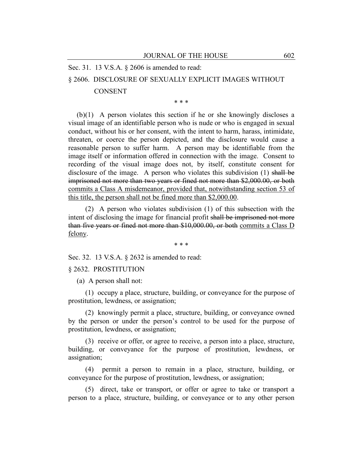Sec. 31. 13 V.S.A. § 2606 is amended to read:

## § 2606. DISCLOSURE OF SEXUALLY EXPLICIT IMAGES WITHOUT

#### CONSENT

\* \* \*

(b)(1) A person violates this section if he or she knowingly discloses a visual image of an identifiable person who is nude or who is engaged in sexual conduct, without his or her consent, with the intent to harm, harass, intimidate, threaten, or coerce the person depicted, and the disclosure would cause a reasonable person to suffer harm. A person may be identifiable from the image itself or information offered in connection with the image. Consent to recording of the visual image does not, by itself, constitute consent for disclosure of the image. A person who violates this subdivision (1) shall be imprisoned not more than two years or fined not more than \$2,000.00, or both commits a Class A misdemeanor, provided that, notwithstanding section 53 of this title, the person shall not be fined more than \$2,000.00.

(2) A person who violates subdivision (1) of this subsection with the intent of disclosing the image for financial profit shall be imprisoned not more than five years or fined not more than \$10,000.00, or both commits a Class D felony.

\* \* \*

Sec. 32. 13 V.S.A. § 2632 is amended to read:

## § 2632. PROSTITUTION

(a) A person shall not:

(1) occupy a place, structure, building, or conveyance for the purpose of prostitution, lewdness, or assignation;

(2) knowingly permit a place, structure, building, or conveyance owned by the person or under the person's control to be used for the purpose of prostitution, lewdness, or assignation;

(3) receive or offer, or agree to receive, a person into a place, structure, building, or conveyance for the purpose of prostitution, lewdness, or assignation;

(4) permit a person to remain in a place, structure, building, or conveyance for the purpose of prostitution, lewdness, or assignation;

(5) direct, take or transport, or offer or agree to take or transport a person to a place, structure, building, or conveyance or to any other person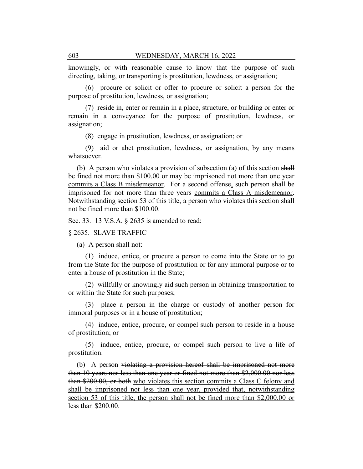knowingly, or with reasonable cause to know that the purpose of such directing, taking, or transporting is prostitution, lewdness, or assignation;

(6) procure or solicit or offer to procure or solicit a person for the purpose of prostitution, lewdness, or assignation;

(7) reside in, enter or remain in a place, structure, or building or enter or remain in a conveyance for the purpose of prostitution, lewdness, or assignation;

(8) engage in prostitution, lewdness, or assignation; or

(9) aid or abet prostitution, lewdness, or assignation, by any means whatsoever.

(b) A person who violates a provision of subsection (a) of this section shall be fined not more than \$100.00 or may be imprisoned not more than one year commits a Class B misdemeanor. For a second offense, such person shall be imprisoned for not more than three years commits a Class A misdemeanor. Notwithstanding section 53 of this title, a person who violates this section shall not be fined more than \$100.00.

Sec. 33. 13 V.S.A. § 2635 is amended to read:

#### § 2635. SLAVE TRAFFIC

(a) A person shall not:

(1) induce, entice, or procure a person to come into the State or to go from the State for the purpose of prostitution or for any immoral purpose or to enter a house of prostitution in the State;

(2) willfully or knowingly aid such person in obtaining transportation to or within the State for such purposes;

(3) place a person in the charge or custody of another person for immoral purposes or in a house of prostitution;

(4) induce, entice, procure, or compel such person to reside in a house of prostitution; or

(5) induce, entice, procure, or compel such person to live a life of prostitution.

(b) A person violating a provision hereof shall be imprisoned not more than 10 years nor less than one year or fined not more than \$2,000.00 nor less than \$200.00, or both who violates this section commits a Class C felony and shall be imprisoned not less than one year, provided that, notwithstanding section 53 of this title, the person shall not be fined more than \$2,000.00 or less than \$200.00.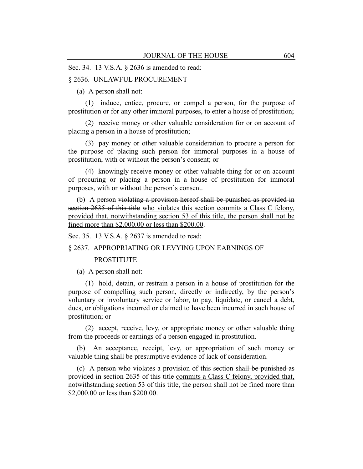Sec. 34. 13 V.S.A. § 2636 is amended to read:

#### § 2636. UNLAWFUL PROCUREMENT

(a) A person shall not:

(1) induce, entice, procure, or compel a person, for the purpose of prostitution or for any other immoral purposes, to enter a house of prostitution;

(2) receive money or other valuable consideration for or on account of placing a person in a house of prostitution;

(3) pay money or other valuable consideration to procure a person for the purpose of placing such person for immoral purposes in a house of prostitution, with or without the person's consent; or

(4) knowingly receive money or other valuable thing for or on account of procuring or placing a person in a house of prostitution for immoral purposes, with or without the person's consent.

(b) A person violating a provision hereof shall be punished as provided in section 2635 of this title who violates this section commits a Class C felony, provided that, notwithstanding section 53 of this title, the person shall not be fined more than \$2,000.00 or less than \$200.00.

Sec. 35. 13 V.S.A. § 2637 is amended to read:

## § 2637. APPROPRIATING OR LEVYING UPON EARNINGS OF

#### **PROSTITUTE**

(a) A person shall not:

(1) hold, detain, or restrain a person in a house of prostitution for the purpose of compelling such person, directly or indirectly, by the person's voluntary or involuntary service or labor, to pay, liquidate, or cancel a debt, dues, or obligations incurred or claimed to have been incurred in such house of prostitution; or

(2) accept, receive, levy, or appropriate money or other valuable thing from the proceeds or earnings of a person engaged in prostitution.

(b) An acceptance, receipt, levy, or appropriation of such money or valuable thing shall be presumptive evidence of lack of consideration.

(c) A person who violates a provision of this section shall be punished as provided in section 2635 of this title commits a Class C felony, provided that, notwithstanding section 53 of this title, the person shall not be fined more than \$2,000.00 or less than \$200.00.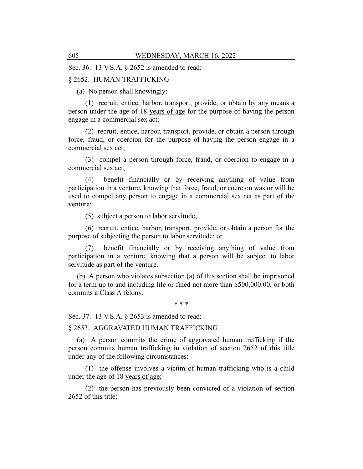Sec. 36. 13 V.S.A. § 2652 is amended to read:

#### § 2652. HUMAN TRAFFICKING

(a) No person shall knowingly:

(1) recruit, entice, harbor, transport, provide, or obtain by any means a person under the age of 18 years of age for the purpose of having the person engage in a commercial sex act;

(2) recruit, entice, harbor, transport, provide, or obtain a person through force, fraud, or coercion for the purpose of having the person engage in a commercial sex act;

(3) compel a person through force, fraud, or coercion to engage in a commercial sex act;

(4) benefit financially or by receiving anything of value from participation in a venture, knowing that force, fraud, or coercion was or will be used to compel any person to engage in a commercial sex act as part of the venture;

(5) subject a person to labor servitude;

(6) recruit, entice, harbor, transport, provide, or obtain a person for the purpose of subjecting the person to labor servitude; or

benefit financially or by receiving anything of value from participation in a venture, knowing that a person will be subject to labor servitude as part of the venture.

(b) A person who violates subsection (a) of this section shall be imprisoned for a term up to and including life or fined not more than \$500,000.00, or both commits a Class A felony.

\* \* \*

Sec. 37. 13 V.S.A. § 2653 is amended to read:

§ 2653. AGGRAVATED HUMAN TRAFFICKING

(a) A person commits the crime of aggravated human trafficking if the person commits human trafficking in violation of section 2652 of this title under any of the following circumstances:

(1) the offense involves a victim of human trafficking who is a child under the age of 18 years of age;

(2) the person has previously been convicted of a violation of section 2652 of this title;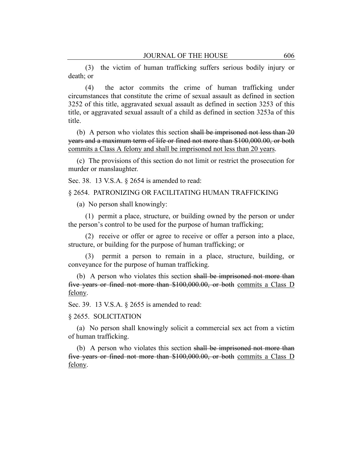(3) the victim of human trafficking suffers serious bodily injury or death; or

(4) the actor commits the crime of human trafficking under circumstances that constitute the crime of sexual assault as defined in section 3252 of this title, aggravated sexual assault as defined in section 3253 of this title, or aggravated sexual assault of a child as defined in section 3253a of this title.

(b) A person who violates this section shall be imprisoned not less than 20 years and a maximum term of life or fined not more than \$100,000.00, or both commits a Class A felony and shall be imprisoned not less than 20 years.

(c) The provisions of this section do not limit or restrict the prosecution for murder or manslaughter.

Sec. 38. 13 V.S.A. § 2654 is amended to read:

### § 2654. PATRONIZING OR FACILITATING HUMAN TRAFFICKING

(a) No person shall knowingly:

(1) permit a place, structure, or building owned by the person or under the person's control to be used for the purpose of human trafficking;

(2) receive or offer or agree to receive or offer a person into a place, structure, or building for the purpose of human trafficking; or

(3) permit a person to remain in a place, structure, building, or conveyance for the purpose of human trafficking.

(b) A person who violates this section shall be imprisoned not more than five years or fined not more than \$100,000.00, or both commits a Class D felony.

Sec. 39. 13 V.S.A. § 2655 is amended to read:

## § 2655. SOLICITATION

(a) No person shall knowingly solicit a commercial sex act from a victim of human trafficking.

(b) A person who violates this section shall be imprisoned not more than five years or fined not more than \$100,000.00, or both commits a Class D felony.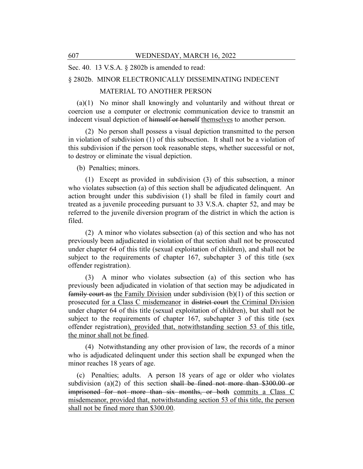Sec. 40. 13 V.S.A. § 2802b is amended to read:

## § 2802b. MINOR ELECTRONICALLY DISSEMINATING INDECENT

## MATERIAL TO ANOTHER PERSON

(a)(1) No minor shall knowingly and voluntarily and without threat or coercion use a computer or electronic communication device to transmit an indecent visual depiction of himself or herself themselves to another person.

(2) No person shall possess a visual depiction transmitted to the person in violation of subdivision (1) of this subsection. It shall not be a violation of this subdivision if the person took reasonable steps, whether successful or not, to destroy or eliminate the visual depiction.

(b) Penalties; minors.

(1) Except as provided in subdivision (3) of this subsection, a minor who violates subsection (a) of this section shall be adjudicated delinquent. An action brought under this subdivision (1) shall be filed in family court and treated as a juvenile proceeding pursuant to 33 V.S.A. chapter 52, and may be referred to the juvenile diversion program of the district in which the action is filed.

(2) A minor who violates subsection (a) of this section and who has not previously been adjudicated in violation of that section shall not be prosecuted under chapter 64 of this title (sexual exploitation of children), and shall not be subject to the requirements of chapter 167, subchapter 3 of this title (sex offender registration).

(3) A minor who violates subsection (a) of this section who has previously been adjudicated in violation of that section may be adjudicated in family court as the Family Division under subdivision (b)(1) of this section or prosecuted for a Class C misdemeanor in district court the Criminal Division under chapter 64 of this title (sexual exploitation of children), but shall not be subject to the requirements of chapter 167, subchapter 3 of this title (sex offender registration)*,* provided that, notwithstanding section 53 of this title, the minor shall not be fined.

(4) Notwithstanding any other provision of law, the records of a minor who is adjudicated delinquent under this section shall be expunged when the minor reaches 18 years of age.

(c) Penalties; adults. A person 18 years of age or older who violates subdivision (a)(2) of this section shall be fined not more than  $$300.00$  or imprisoned for not more than six months, or both commits a Class C misdemeanor, provided that, notwithstanding section 53 of this title, the person shall not be fined more than \$300.00.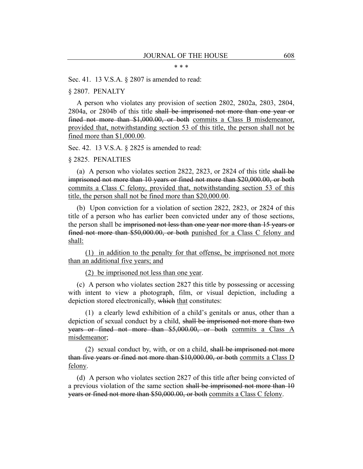#### \* \* \*

#### Sec. 41. 13 V.S.A. § 2807 is amended to read:

#### § 2807. PENALTY

A person who violates any provision of section 2802, 2802a, 2803, 2804, 2804a, or 2804b of this title shall be imprisoned not more than one year or fined not more than \$1,000.00, or both commits a Class B misdemeanor, provided that, notwithstanding section 53 of this title, the person shall not be fined more than \$1,000.00.

Sec. 42. 13 V.S.A. § 2825 is amended to read:

#### § 2825. PENALTIES

(a) A person who violates section 2822, 2823, or 2824 of this title shall be imprisoned not more than 10 years or fined not more than \$20,000.00, or both commits a Class C felony, provided that, notwithstanding section 53 of this title, the person shall not be fined more than \$20,000.00.

(b) Upon conviction for a violation of section 2822, 2823, or 2824 of this title of a person who has earlier been convicted under any of those sections, the person shall be imprisoned not less than one year nor more than 15 years or fined not more than \$50,000.00, or both punished for a Class C felony and shall:

(1) in addition to the penalty for that offense, be imprisoned not more than an additional five years; and

(2) be imprisoned not less than one year.

(c) A person who violates section 2827 this title by possessing or accessing with intent to view a photograph, film, or visual depiction, including a depiction stored electronically, which that constitutes:

(1) a clearly lewd exhibition of a child's genitals or anus, other than a depiction of sexual conduct by a child, shall be imprisoned not more than two years or fined not more than \$5,000.00, or both commits a Class A misdemeanor;

(2) sexual conduct by, with, or on a child, shall be imprisoned not more than five years or fined not more than \$10,000.00, or both commits a Class D felony.

(d) A person who violates section 2827 of this title after being convicted of a previous violation of the same section shall be imprisoned not more than 10 years or fined not more than \$50,000.00, or both commits a Class C felony.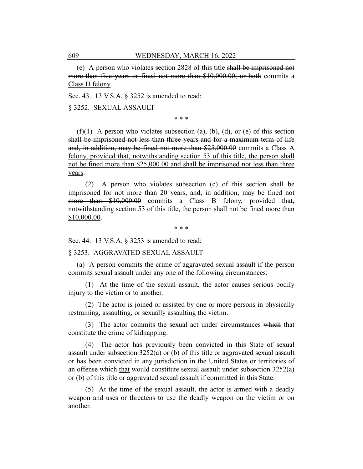(e) A person who violates section 2828 of this title shall be imprisoned not more than five years or fined not more than \$10,000.00, or both commits a Class D felony.

Sec. 43. 13 V.S.A. § 3252 is amended to read:

§ 3252. SEXUAL ASSAULT

\* \* \*

 $(f)(1)$  A person who violates subsection (a), (b), (d), or (e) of this section shall be imprisoned not less than three years and for a maximum term of life and, in addition, may be fined not more than \$25,000.00 commits a Class A felony, provided that, notwithstanding section 53 of this title, the person shall not be fined more than \$25,000.00 and shall be imprisoned not less than three years.

(2) A person who violates subsection (c) of this section shall be imprisoned for not more than 20 years, and, in addition, may be fined not more than \$10,000.00 commits a Class B felony, provided that, notwithstanding section 53 of this title, the person shall not be fined more than \$10,000.00.

\* \* \*

Sec. 44. 13 V.S.A. § 3253 is amended to read:

§ 3253. AGGRAVATED SEXUAL ASSAULT

(a) A person commits the crime of aggravated sexual assault if the person commits sexual assault under any one of the following circumstances:

(1) At the time of the sexual assault, the actor causes serious bodily injury to the victim or to another.

(2) The actor is joined or assisted by one or more persons in physically restraining, assaulting, or sexually assaulting the victim.

(3) The actor commits the sexual act under circumstances which that constitute the crime of kidnapping.

(4) The actor has previously been convicted in this State of sexual assault under subsection 3252(a) or (b) of this title or aggravated sexual assault or has been convicted in any jurisdiction in the United States or territories of an offense which that would constitute sexual assault under subsection 3252(a) or (b) of this title or aggravated sexual assault if committed in this State.

(5) At the time of the sexual assault, the actor is armed with a deadly weapon and uses or threatens to use the deadly weapon on the victim or on another.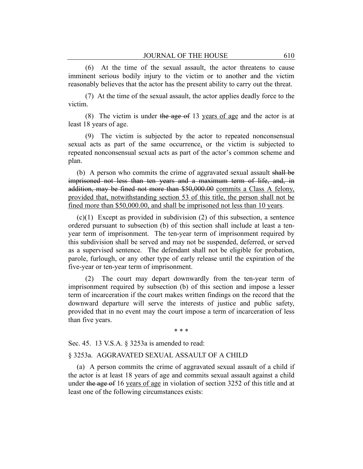(6) At the time of the sexual assault, the actor threatens to cause imminent serious bodily injury to the victim or to another and the victim reasonably believes that the actor has the present ability to carry out the threat.

(7) At the time of the sexual assault, the actor applies deadly force to the victim.

(8) The victim is under the age of 13 years of age and the actor is at least 18 years of age.

(9) The victim is subjected by the actor to repeated nonconsensual sexual acts as part of the same occurrence, or the victim is subjected to repeated nonconsensual sexual acts as part of the actor's common scheme and plan.

(b) A person who commits the crime of aggravated sexual assault shall be imprisoned not less than ten years and a maximum term of life, and, in addition, may be fined not more than \$50,000.00 commits a Class A felony, provided that, notwithstanding section 53 of this title, the person shall not be fined more than \$50,000.00, and shall be imprisoned not less than 10 years.

(c)(1) Except as provided in subdivision (2) of this subsection, a sentence ordered pursuant to subsection (b) of this section shall include at least a tenyear term of imprisonment. The ten-year term of imprisonment required by this subdivision shall be served and may not be suspended, deferred, or served as a supervised sentence. The defendant shall not be eligible for probation, parole, furlough, or any other type of early release until the expiration of the five-year or ten-year term of imprisonment.

(2) The court may depart downwardly from the ten-year term of imprisonment required by subsection (b) of this section and impose a lesser term of incarceration if the court makes written findings on the record that the downward departure will serve the interests of justice and public safety, provided that in no event may the court impose a term of incarceration of less than five years.

\* \* \*

Sec. 45. 13 V.S.A. § 3253a is amended to read:

## § 3253a. AGGRAVATED SEXUAL ASSAULT OF A CHILD

(a) A person commits the crime of aggravated sexual assault of a child if the actor is at least 18 years of age and commits sexual assault against a child under the age of 16 years of age in violation of section 3252 of this title and at least one of the following circumstances exists: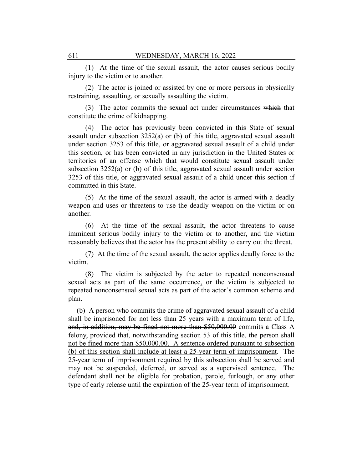(1) At the time of the sexual assault, the actor causes serious bodily injury to the victim or to another.

(2) The actor is joined or assisted by one or more persons in physically restraining, assaulting, or sexually assaulting the victim.

(3) The actor commits the sexual act under circumstances which that constitute the crime of kidnapping.

(4) The actor has previously been convicted in this State of sexual assault under subsection  $3252(a)$  or (b) of this title, aggravated sexual assault under section 3253 of this title, or aggravated sexual assault of a child under this section, or has been convicted in any jurisdiction in the United States or territories of an offense which that would constitute sexual assault under subsection 3252(a) or (b) of this title, aggravated sexual assault under section 3253 of this title, or aggravated sexual assault of a child under this section if committed in this State.

(5) At the time of the sexual assault, the actor is armed with a deadly weapon and uses or threatens to use the deadly weapon on the victim or on another.

(6) At the time of the sexual assault, the actor threatens to cause imminent serious bodily injury to the victim or to another, and the victim reasonably believes that the actor has the present ability to carry out the threat.

(7) At the time of the sexual assault, the actor applies deadly force to the victim.

(8) The victim is subjected by the actor to repeated nonconsensual sexual acts as part of the same occurrence, or the victim is subjected to repeated nonconsensual sexual acts as part of the actor's common scheme and plan.

(b) A person who commits the crime of aggravated sexual assault of a child shall be imprisoned for not less than 25 years with a maximum term of life, and, in addition, may be fined not more than \$50,000.00 commits a Class A felony, provided that, notwithstanding section 53 of this title, the person shall not be fined more than \$50,000.00. A sentence ordered pursuant to subsection (b) of this section shall include at least a 25-year term of imprisonment. The 25-year term of imprisonment required by this subsection shall be served and may not be suspended, deferred, or served as a supervised sentence. The defendant shall not be eligible for probation, parole, furlough, or any other type of early release until the expiration of the 25-year term of imprisonment.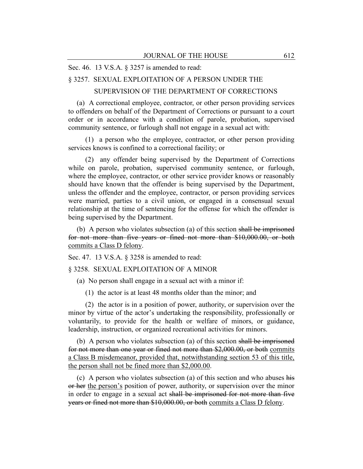Sec. 46. 13 V.S.A. § 3257 is amended to read:

## § 3257. SEXUAL EXPLOITATION OF A PERSON UNDER THE

SUPERVISION OF THE DEPARTMENT OF CORRECTIONS

(a) A correctional employee, contractor, or other person providing services to offenders on behalf of the Department of Corrections or pursuant to a court order or in accordance with a condition of parole, probation, supervised community sentence, or furlough shall not engage in a sexual act with:

(1) a person who the employee, contractor, or other person providing services knows is confined to a correctional facility; or

(2) any offender being supervised by the Department of Corrections while on parole, probation, supervised community sentence, or furlough, where the employee, contractor, or other service provider knows or reasonably should have known that the offender is being supervised by the Department, unless the offender and the employee, contractor, or person providing services were married, parties to a civil union, or engaged in a consensual sexual relationship at the time of sentencing for the offense for which the offender is being supervised by the Department.

(b) A person who violates subsection (a) of this section shall be imprisoned for not more than five years or fined not more than \$10,000.00, or both commits a Class D felony.

Sec. 47. 13 V.S.A. § 3258 is amended to read:

§ 3258. SEXUAL EXPLOITATION OF A MINOR

(a) No person shall engage in a sexual act with a minor if:

(1) the actor is at least 48 months older than the minor; and

(2) the actor is in a position of power, authority, or supervision over the minor by virtue of the actor's undertaking the responsibility, professionally or voluntarily, to provide for the health or welfare of minors, or guidance, leadership, instruction, or organized recreational activities for minors.

(b) A person who violates subsection (a) of this section shall be imprisoned for not more than one year or fined not more than \$2,000.00, or both commits a Class B misdemeanor, provided that, notwithstanding section 53 of this title, the person shall not be fined more than \$2,000.00.

(c) A person who violates subsection (a) of this section and who abuses his or her the person's position of power, authority, or supervision over the minor in order to engage in a sexual act shall be imprisoned for not more than five years or fined not more than \$10,000.00, or both commits a Class D felony.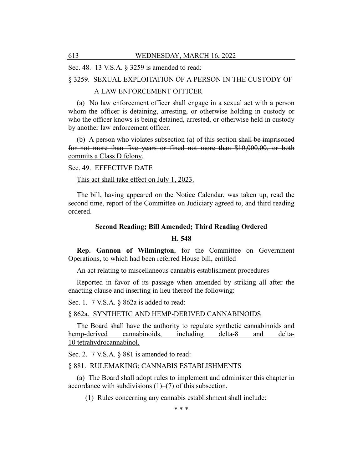Sec. 48. 13 V.S.A. § 3259 is amended to read:

§ 3259. SEXUAL EXPLOITATION OF A PERSON IN THE CUSTODY OF

## A LAW ENFORCEMENT OFFICER

(a) No law enforcement officer shall engage in a sexual act with a person whom the officer is detaining, arresting, or otherwise holding in custody or who the officer knows is being detained, arrested, or otherwise held in custody by another law enforcement officer.

(b) A person who violates subsection (a) of this section shall be imprisoned for not more than five years or fined not more than \$10,000.00, or both commits a Class D felony.

## Sec. 49. EFFECTIVE DATE

This act shall take effect on July 1, 2023.

The bill, having appeared on the Notice Calendar, was taken up, read the second time, report of the Committee on Judiciary agreed to, and third reading ordered.

# **Second Reading; Bill Amended; Third Reading Ordered**

## **H. 548**

**Rep. Gannon of Wilmington**, for the Committee on Government Operations, to which had been referred House bill, entitled

An act relating to miscellaneous cannabis establishment procedures

Reported in favor of its passage when amended by striking all after the enacting clause and inserting in lieu thereof the following:

Sec. 1. 7 V.S.A. § 862a is added to read:

#### § 862a. SYNTHETIC AND HEMP-DERIVED CANNABINOIDS

The Board shall have the authority to regulate synthetic cannabinoids and hemp-derived cannabinoids, including delta-8 and delta-10 tetrahydrocannabinol.

Sec. 2. 7 V.S.A. § 881 is amended to read:

#### § 881. RULEMAKING; CANNABIS ESTABLISHMENTS

(a) The Board shall adopt rules to implement and administer this chapter in accordance with subdivisions  $(1)$ – $(7)$  of this subsection.

(1) Rules concerning any cannabis establishment shall include:

\* \* \*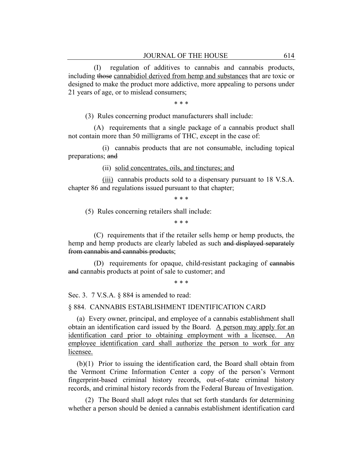(I) regulation of additives to cannabis and cannabis products, including those cannabidiol derived from hemp and substances that are toxic or designed to make the product more addictive, more appealing to persons under 21 years of age, or to mislead consumers;

\* \* \*

(3) Rules concerning product manufacturers shall include:

(A) requirements that a single package of a cannabis product shall not contain more than 50 milligrams of THC, except in the case of:

(i) cannabis products that are not consumable, including topical preparations; and

(ii) solid concentrates, oils, and tinctures; and

(iii) cannabis products sold to a dispensary pursuant to 18 V.S.A. chapter 86 and regulations issued pursuant to that chapter;

\* \* \*

(5) Rules concerning retailers shall include:

\* \* \*

(C) requirements that if the retailer sells hemp or hemp products, the hemp and hemp products are clearly labeled as such and displayed separately from cannabis and cannabis products;

(D) requirements for opaque, child-resistant packaging of cannabis and cannabis products at point of sale to customer; and

\* \* \*

Sec. 3. 7 V.S.A. § 884 is amended to read:

§ 884. CANNABIS ESTABLISHMENT IDENTIFICATION CARD

(a) Every owner, principal, and employee of a cannabis establishment shall obtain an identification card issued by the Board. A person may apply for an identification card prior to obtaining employment with a licensee. An employee identification card shall authorize the person to work for any licensee.

(b)(1) Prior to issuing the identification card, the Board shall obtain from the Vermont Crime Information Center a copy of the person's Vermont fingerprint-based criminal history records, out-of-state criminal history records, and criminal history records from the Federal Bureau of Investigation.

(2) The Board shall adopt rules that set forth standards for determining whether a person should be denied a cannabis establishment identification card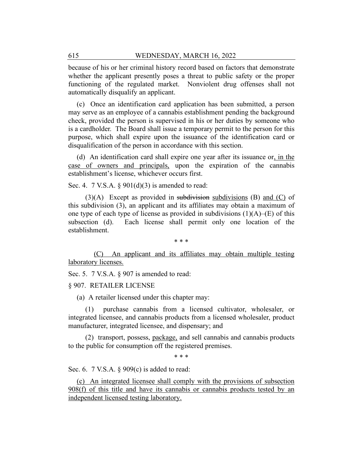because of his or her criminal history record based on factors that demonstrate whether the applicant presently poses a threat to public safety or the proper functioning of the regulated market. Nonviolent drug offenses shall not automatically disqualify an applicant.

(c) Once an identification card application has been submitted, a person may serve as an employee of a cannabis establishment pending the background check, provided the person is supervised in his or her duties by someone who is a cardholder. The Board shall issue a temporary permit to the person for this purpose, which shall expire upon the issuance of the identification card or disqualification of the person in accordance with this section.

(d) An identification card shall expire one year after its issuance or, in the case of owners and principals, upon the expiration of the cannabis establishment's license, whichever occurs first.

Sec. 4. 7 V.S.A.  $\S 901(d)(3)$  is amended to read:

 $(3)(A)$  Except as provided in subdivision subdivisions (B) and  $(C)$  of this subdivision (3), an applicant and its affiliates may obtain a maximum of one type of each type of license as provided in subdivisions  $(1)(A)$ –(E) of this subsection (d). Each license shall permit only one location of the establishment.

\* \* \*

(C) An applicant and its affiliates may obtain multiple testing laboratory licenses.

Sec. 5. 7 V.S.A. § 907 is amended to read:

§ 907. RETAILER LICENSE

(a) A retailer licensed under this chapter may:

purchase cannabis from a licensed cultivator, wholesaler, or integrated licensee, and cannabis products from a licensed wholesaler, product manufacturer, integrated licensee, and dispensary; and

(2) transport, possess, package, and sell cannabis and cannabis products to the public for consumption off the registered premises.

\* \* \*

Sec. 6. 7 V.S.A. § 909(c) is added to read:

(c) An integrated licensee shall comply with the provisions of subsection 908(f) of this title and have its cannabis or cannabis products tested by an independent licensed testing laboratory.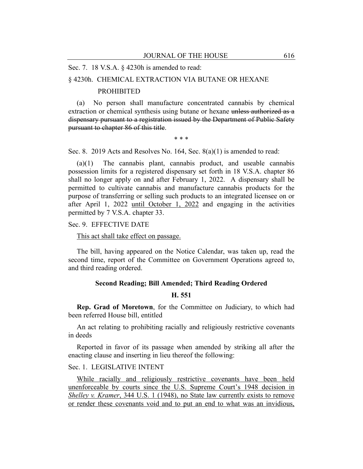Sec. 7. 18 V.S.A. § 4230h is amended to read:

## § 4230h. CHEMICAL EXTRACTION VIA BUTANE OR HEXANE

#### PROHIBITED

(a) No person shall manufacture concentrated cannabis by chemical extraction or chemical synthesis using butane or hexane unless authorized as a dispensary pursuant to a registration issued by the Department of Public Safety pursuant to chapter 86 of this title.

\* \* \*

Sec. 8. 2019 Acts and Resolves No. 164, Sec. 8(a)(1) is amended to read:

(a)(1) The cannabis plant, cannabis product, and useable cannabis possession limits for a registered dispensary set forth in 18 V.S.A. chapter 86 shall no longer apply on and after February 1, 2022. A dispensary shall be permitted to cultivate cannabis and manufacture cannabis products for the purpose of transferring or selling such products to an integrated licensee on or after April 1, 2022 until October 1, 2022 and engaging in the activities permitted by 7 V.S.A. chapter 33.

Sec. 9. EFFECTIVE DATE

This act shall take effect on passage.

The bill, having appeared on the Notice Calendar, was taken up, read the second time, report of the Committee on Government Operations agreed to, and third reading ordered.

#### **Second Reading; Bill Amended; Third Reading Ordered**

#### **H. 551**

**Rep. Grad of Moretown**, for the Committee on Judiciary, to which had been referred House bill, entitled

An act relating to prohibiting racially and religiously restrictive covenants in deeds

Reported in favor of its passage when amended by striking all after the enacting clause and inserting in lieu thereof the following:

#### Sec. 1. LEGISLATIVE INTENT

While racially and religiously restrictive covenants have been held unenforceable by courts since the U.S. Supreme Court's 1948 decision in *Shelley v. Kramer*, 344 U.S. 1 (1948), no State law currently exists to remove or render these covenants void and to put an end to what was an invidious,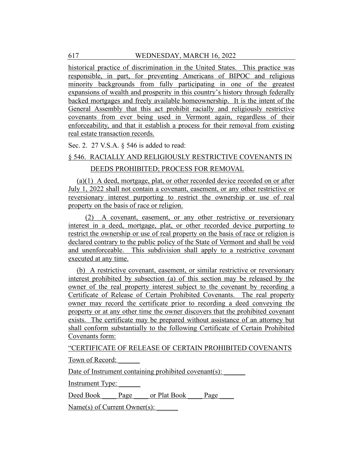historical practice of discrimination in the United States. This practice was responsible, in part, for preventing Americans of BIPOC and religious minority backgrounds from fully participating in one of the greatest expansions of wealth and prosperity in this country's history through federally backed mortgages and freely available homeownership. It is the intent of the General Assembly that this act prohibit racially and religiously restrictive covenants from ever being used in Vermont again, regardless of their enforceability, and that it establish a process for their removal from existing real estate transaction records.

Sec. 2. 27 V.S.A. § 546 is added to read:

## § 546. RACIALLY AND RELIGIOUSLY RESTRICTIVE COVENANTS IN

## DEEDS PROHIBITED; PROCESS FOR REMOVAL

(a)(1) A deed, mortgage, plat, or other recorded device recorded on or after July 1, 2022 shall not contain a covenant, easement, or any other restrictive or reversionary interest purporting to restrict the ownership or use of real property on the basis of race or religion.

(2) A covenant, easement, or any other restrictive or reversionary interest in a deed, mortgage, plat, or other recorded device purporting to restrict the ownership or use of real property on the basis of race or religion is declared contrary to the public policy of the State of Vermont and shall be void and unenforceable. This subdivision shall apply to a restrictive covenant executed at any time.

(b) A restrictive covenant, easement, or similar restrictive or reversionary interest prohibited by subsection (a) of this section may be released by the owner of the real property interest subject to the covenant by recording a Certificate of Release of Certain Prohibited Covenants. The real property owner may record the certificate prior to recording a deed conveying the property or at any other time the owner discovers that the prohibited covenant exists. The certificate may be prepared without assistance of an attorney but shall conform substantially to the following Certificate of Certain Prohibited Covenants form:

"CERTIFICATE OF RELEASE OF CERTAIN PROHIBITED COVENANTS

Town of Record:

Date of Instrument containing prohibited covenant(s):

Instrument Type:

Deed Book \_\_\_\_ Page \_\_\_\_ or Plat Book \_\_\_\_ Page

Name(s) of Current Owner(s):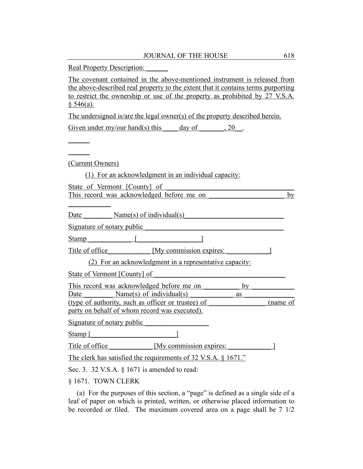Real Property Description:

The covenant contained in the above-mentioned instrument is released from the above-described real property to the extent that it contains terms purporting to restrict the ownership or use of the property as prohibited by 27 V.S.A.  $§ 546(a).$ 

The undersigned is/are the legal owner(s) of the property described herein. Given under my/our hand(s) this day of  $\qquad \quad \text{, } 20 \quad .$ 

 $\overline{\phantom{a}}$  $\overline{\phantom{a}}$ 

(Current Owners)

(1) For an acknowledgment in an individual capacity:

State of Vermont [County] of This record was acknowledged before me on by  $\overline{\phantom{a}}$ Date  $Name(s)$  of individual(s) Signature of notary public

Stamp  $\begin{bmatrix} \frac{1}{2} & \frac{1}{2} & \frac{1}{2} & \frac{1}{2} & \frac{1}{2} & \frac{1}{2} & \frac{1}{2} & \frac{1}{2} & \frac{1}{2} & \frac{1}{2} & \frac{1}{2} & \frac{1}{2} & \frac{1}{2} & \frac{1}{2} & \frac{1}{2} & \frac{1}{2} & \frac{1}{2} & \frac{1}{2} & \frac{1}{2} & \frac{1}{2} & \frac{1}{2} & \frac{1}{2} & \frac{1}{2} & \frac{1}{2} & \frac{1}{2} & \frac{1}{2} &$ 

Title of office [My commission expires: 1]

(2) For an acknowledgment in a representative capacity:

State of Vermont [County] of

This record was acknowledged before me on by Date  $Name(s)$  of individual(s) as  $a$ (type of authority, such as officer or trustee) of \_\_\_\_\_\_\_\_\_\_\_\_\_\_\_\_ (name of

party on behalf of whom record was executed).

Signature of notary public

Stamp  $\lceil$ 

Title of office [My commission expires:  $\blacksquare$ ]

The clerk has satisfied the requirements of 32 V.S.A. § 1671."

Sec. 3. 32 V.S.A. § 1671 is amended to read:

§ 1671. TOWN CLERK

(a) For the purposes of this section, a "page" is defined as a single side of a leaf of paper on which is printed, written, or otherwise placed information to be recorded or filed. The maximum covered area on a page shall be 7 1/2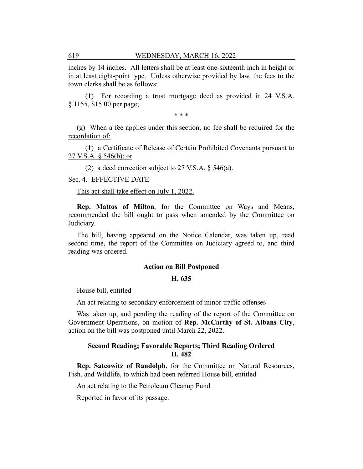inches by 14 inches. All letters shall be at least one-sixteenth inch in height or in at least eight-point type. Unless otherwise provided by law, the fees to the town clerks shall be as follows:

(1) For recording a trust mortgage deed as provided in 24 V.S.A. § 1155, \$15.00 per page;

\* \* \*

(g) When a fee applies under this section, no fee shall be required for the recordation of:

(1) a Certificate of Release of Certain Prohibited Covenants pursuant to 27 V.S.A. § 546(b); or

(2) a deed correction subject to 27 V.S.A. § 546(a).

Sec. 4. EFFECTIVE DATE

This act shall take effect on July 1, 2022.

**Rep. Mattos of Milton**, for the Committee on Ways and Means, recommended the bill ought to pass when amended by the Committee on Judiciary.

The bill, having appeared on the Notice Calendar, was taken up, read second time, the report of the Committee on Judiciary agreed to, and third reading was ordered.

#### **Action on Bill Postponed**

#### **H. 635**

House bill, entitled

An act relating to secondary enforcement of minor traffic offenses

Was taken up, and pending the reading of the report of the Committee on Government Operations, on motion of **Rep. McCarthy of St. Albans City**, action on the bill was postponed until March 22, 2022.

## **Second Reading; Favorable Reports; Third Reading Ordered H. 482**

**Rep. Satcowitz of Randolph**, for the Committee on Natural Resources, Fish, and Wildlife, to which had been referred House bill, entitled

An act relating to the Petroleum Cleanup Fund

Reported in favor of its passage.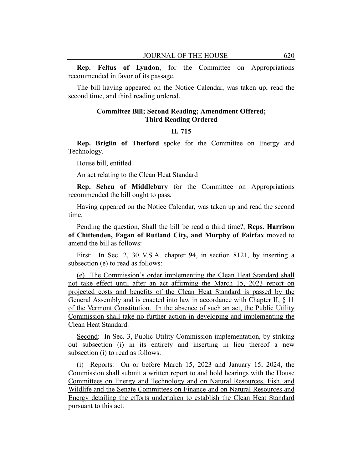**Rep. Feltus of Lyndon**, for the Committee on Appropriations recommended in favor of its passage.

The bill having appeared on the Notice Calendar, was taken up, read the second time, and third reading ordered.

## **Committee Bill; Second Reading; Amendment Offered; Third Reading Ordered**

## **H. 715**

**Rep. Briglin of Thetford** spoke for the Committee on Energy and Technology.

House bill, entitled

An act relating to the Clean Heat Standard

**Rep. Scheu of Middlebury** for the Committee on Appropriations recommended the bill ought to pass.

Having appeared on the Notice Calendar, was taken up and read the second time.

Pending the question, Shall the bill be read a third time?, **Reps. Harrison of Chittenden, Fagan of Rutland City, and Murphy of Fairfax** moved to amend the bill as follows:

First: In Sec. 2, 30 V.S.A. chapter 94, in section 8121, by inserting a subsection (e) to read as follows:

(e) The Commission's order implementing the Clean Heat Standard shall not take effect until after an act affirming the March 15, 2023 report on projected costs and benefits of the Clean Heat Standard is passed by the General Assembly and is enacted into law in accordance with Chapter II, § 11 of the Vermont Constitution. In the absence of such an act, the Public Utility Commission shall take no further action in developing and implementing the Clean Heat Standard.

Second: In Sec. 3, Public Utility Commission implementation, by striking out subsection (i) in its entirety and inserting in lieu thereof a new subsection (i) to read as follows:

(i) Reports. On or before March 15, 2023 and January 15, 2024, the Commission shall submit a written report to and hold hearings with the House Committees on Energy and Technology and on Natural Resources, Fish, and Wildlife and the Senate Committees on Finance and on Natural Resources and Energy detailing the efforts undertaken to establish the Clean Heat Standard pursuant to this act.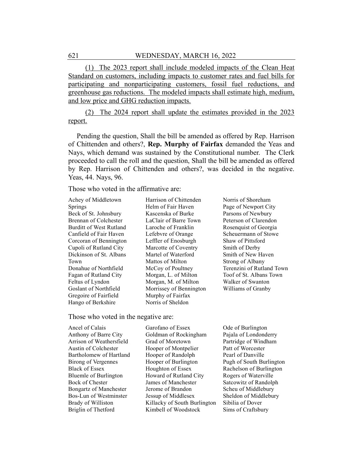(1) The 2023 report shall include modeled impacts of the Clean Heat Standard on customers, including impacts to customer rates and fuel bills for participating and nonparticipating customers, fossil fuel reductions, and greenhouse gas reductions. The modeled impacts shall estimate high, medium, and low price and GHG reduction impacts.

(2) The 2024 report shall update the estimates provided in the 2023 report.

Pending the question, Shall the bill be amended as offered by Rep. Harrison of Chittenden and others?, **Rep. Murphy of Fairfax** demanded the Yeas and Nays, which demand was sustained by the Constitutional number. The Clerk proceeded to call the roll and the question, Shall the bill be amended as offered by Rep. Harrison of Chittenden and others?, was decided in the negative. Yeas, 44. Nays, 96.

Those who voted in the affirmative are:

Achey of Middletown Springs Beck of St. Johnsbury Brennan of Colchester Burditt of West Rutland Canfield of Fair Haven Corcoran of Bennington Cupoli of Rutland City Dickinson of St. Albans Town Donahue of Northfield Fagan of Rutland City Feltus of Lyndon Goslant of Northfield Gregoire of Fairfield Hango of Berkshire

Harrison of Chittenden Helm of Fair Haven Kascenska of Burke LaClair of Barre Town Laroche of Franklin Lefebvre of Orange Leffler of Enosburgh Marcotte of Coventry Martel of Waterford Mattos of Milton McCoy of Poultney Morgan, L. of Milton Morgan, M. of Milton Morrissey of Bennington Murphy of Fairfax Norris of Sheldon

Norris of Shoreham Page of Newport City Parsons of Newbury Peterson of Clarendon Rosenquist of Georgia Scheuermann of Stowe Shaw of Pittsford Smith of Derby Smith of New Haven Strong of Albany Terenzini of Rutland Town Toof of St. Albans Town Walker of Swanton Williams of Granby

#### Those who voted in the negative are:

Ancel of Calais Anthony of Barre City Arrison of Weathersfield Austin of Colchester Bartholomew of Hartland Birong of Vergennes Black of Essex Bluemle of Burlington Bock of Chester Bongartz of Manchester Bos-Lun of Westminster Brady of Williston Briglin of Thetford

Garofano of Essex Goldman of Rockingham Grad of Moretown Hooper of Montpelier Hooper of Randolph Hooper of Burlington Houghton of Essex Howard of Rutland City James of Manchester Jerome of Brandon Jessup of Middlesex Killacky of South Burlington Kimbell of Woodstock

Ode of Burlington Pajala of Londonderry Partridge of Windham Patt of Worcester Pearl of Danville Pugh of South Burlington Rachelson of Burlington Rogers of Waterville Satcowitz of Randolph Scheu of Middlebury Sheldon of Middlebury Sibilia of Dover Sims of Craftsbury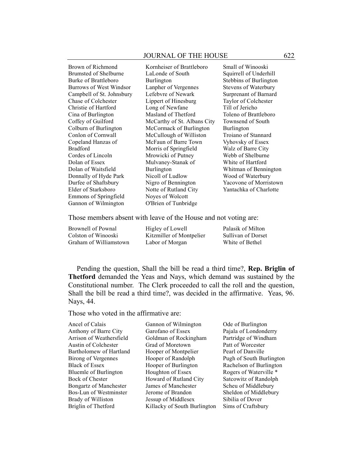| Brown of Richmond         | Kornheiser of Brattleboro   | Small of Winooski           |
|---------------------------|-----------------------------|-----------------------------|
| Brumsted of Shelburne     | LaLonde of South            | Squirrell of Underhill      |
| Burke of Brattleboro      | Burlington                  | Stebbins of Burlington      |
| Burrows of West Windsor   | Lanpher of Vergennes        | <b>Stevens of Waterbury</b> |
| Campbell of St. Johnsbury | Lefebvre of Newark          | Surprenant of Barnard       |
| Chase of Colchester       | Lippert of Hinesburg        | Taylor of Colchester        |
| Christie of Hartford      | Long of Newfane             | Till of Jericho             |
| Cina of Burlington        | Masland of Thetford         | Toleno of Brattleboro       |
| Coffey of Guilford        | McCarthy of St. Albans City | Townsend of South           |
| Colburn of Burlington     | McCormack of Burlington     | Burlington                  |
| Conlon of Cornwall        | McCullough of Williston     | Troiano of Stannard         |
| Copeland Hanzas of        | McFaun of Barre Town        | Vyhovsky of Essex           |
| <b>Bradford</b>           | Morris of Springfield       | Walz of Barre City          |
| Cordes of Lincoln         | Mrowicki of Putney          | Webb of Shelburne           |
| Dolan of Essex            | Mulvaney-Stanak of          | White of Hartford           |
| Dolan of Waitsfield       | Burlington                  | Whitman of Bennington       |
| Donnally of Hyde Park     | Nicoll of Ludlow            | Wood of Waterbury           |
| Durfee of Shaftsbury      | Nigro of Bennington         | Yacovone of Morristown      |
| Elder of Starksboro       | Notte of Rutland City       | Yantachka of Charlotte      |
| Emmons of Springfield     | Noyes of Wolcott            |                             |
| Gannon of Wilmington      | O'Brien of Tunbridge        |                             |
|                           |                             |                             |

Those members absent with leave of the House and not voting are:

| Brownell of Pownal     | Higley of Lowell         | Palasik of Milton  |
|------------------------|--------------------------|--------------------|
| Colston of Winooski    | Kitzmiller of Montpelier | Sullivan of Dorset |
| Graham of Williamstown | Labor of Morgan          | White of Bethel    |

Pending the question, Shall the bill be read a third time?, **Rep. Briglin of Thetford** demanded the Yeas and Nays, which demand was sustained by the Constitutional number. The Clerk proceeded to call the roll and the question, Shall the bill be read a third time?, was decided in the affirmative. Yeas, 96. Nays, 44.

## Those who voted in the affirmative are:

Ancel of Calais Anthony of Barre City Arrison of Weathersfield Austin of Colchester Bartholomew of Hartland Birong of Vergennes Black of Essex Bluemle of Burlington Bock of Chester Bongartz of Manchester Bos-Lun of Westminster Brady of Williston Briglin of Thetford

Gannon of Wilmington Garofano of Essex Goldman of Rockingham Grad of Moretown Hooper of Montpelier Hooper of Randolph Hooper of Burlington Houghton of Essex Howard of Rutland City James of Manchester Jerome of Brandon Jessup of Middlesex Killacky of South Burlington Ode of Burlington Pajala of Londonderry Partridge of Windham Patt of Worcester Pearl of Danville Pugh of South Burlington Rachelson of Burlington Rogers of Waterville \* Satcowitz of Randolph Scheu of Middlebury Sheldon of Middlebury Sibilia of Dover Sims of Craftsbury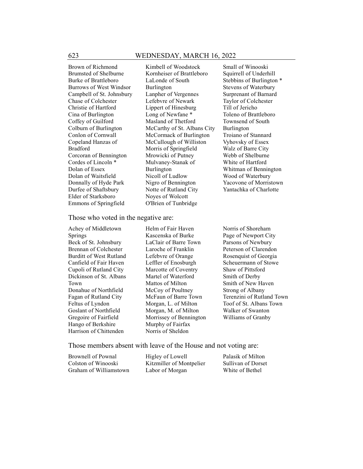Brown of Richmond Brumsted of Shelburne Burke of Brattleboro Burrows of West Windsor Campbell of St. Johnsbury Chase of Colchester Christie of Hartford Cina of Burlington Coffey of Guilford Colburn of Burlington Conlon of Cornwall Copeland Hanzas of Bradford Corcoran of Bennington Cordes of Lincoln \* Dolan of Essex Dolan of Waitsfield Donnally of Hyde Park Durfee of Shaftsbury Elder of Starksboro Emmons of Springfield

Kimbell of Woodstock Kornheiser of Brattleboro LaLonde of South Burlington Lanpher of Vergennes Lefebvre of Newark Lippert of Hinesburg Long of Newfane \* Masland of Thetford McCarthy of St. Albans City McCormack of Burlington McCullough of Williston Morris of Springfield Mrowicki of Putney Mulvaney-Stanak of Burlington Nicoll of Ludlow Nigro of Bennington Notte of Rutland City Noyes of Wolcott O'Brien of Tunbridge

Small of Winooski Squirrell of Underhill Stebbins of Burlington \* Stevens of Waterbury Surprenant of Barnard Taylor of Colchester Till of Jericho Toleno of Brattleboro Townsend of South Burlington Troiano of Stannard Vyhovsky of Essex Walz of Barre City Webb of Shelburne White of Hartford Whitman of Bennington Wood of Waterbury Yacovone of Morristown Yantachka of Charlotte

#### Those who voted in the negative are:

Achey of Middletown Springs Beck of St. Johnsbury Brennan of Colchester Burditt of West Rutland Canfield of Fair Haven Cupoli of Rutland City Dickinson of St. Albans Town Donahue of Northfield Fagan of Rutland City Feltus of Lyndon Goslant of Northfield Gregoire of Fairfield Hango of Berkshire Harrison of Chittenden

Helm of Fair Haven Kascenska of Burke LaClair of Barre Town Laroche of Franklin Lefebvre of Orange Leffler of Enosburgh Marcotte of Coventry Martel of Waterford Mattos of Milton McCoy of Poultney McFaun of Barre Town Morgan, L. of Milton Morgan, M. of Milton Morrissey of Bennington Murphy of Fairfax Norris of Sheldon

Norris of Shoreham Page of Newport City Parsons of Newbury Peterson of Clarendon Rosenquist of Georgia Scheuermann of Stowe Shaw of Pittsford Smith of Derby Smith of New Haven Strong of Albany Terenzini of Rutland Town Toof of St. Albans Town Walker of Swanton Williams of Granby

Those members absent with leave of the House and not voting are:

| Brownell of Pownal     | Higley of Lowell         | Palasik of Milton         |
|------------------------|--------------------------|---------------------------|
| Colston of Winooski    | Kitzmiller of Montpelier | <b>Sullivan of Dorset</b> |
| Graham of Williamstown | Labor of Morgan          | White of Bethel           |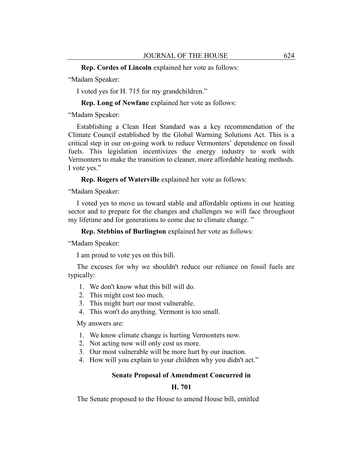**Rep. Cordes of Lincoln** explained her vote as follows:

"Madam Speaker:

I voted yes for H. 715 for my grandchildren."

**Rep. Long of Newfane** explained her vote as follows:

"Madam Speaker:

Establishing a Clean Heat Standard was a key recommendation of the Climate Council established by the Global Warming Solutions Act. This is a critical step in our on-going work to reduce Vermonters' dependence on fossil fuels. This legislation incentivizes the energy industry to work with Vermonters to make the transition to cleaner, more affordable heating methods. I vote yes."

**Rep. Rogers of Waterville** explained her vote as follows:

"Madam Speaker:

I voted yes to move us toward stable and affordable options in our heating sector and to prepare for the changes and challenges we will face throughout my lifetime and for generations to come due to climate change."

**Rep. Stebbins of Burlington** explained her vote as follows:

"Madam Speaker:

I am proud to vote yes on this bill.

The excuses for why we shouldn't reduce our reliance on fossil fuels are typically:

- 1. We don't know what this bill will do.
- 2. This might cost too much.
- 3. This might hurt our most vulnerable.
- 4. This won't do anything. Vermont is too small.

My answers are:

- 1. We know climate change is hurting Vermonters now.
- 2. Not acting now will only cost us more.
- 3. Our most vulnerable will be more hurt by our inaction.
- 4. How will you explain to your children why you didn't act."

#### **Senate Proposal of Amendment Concurred in**

## **H. 701**

The Senate proposed to the House to amend House bill, entitled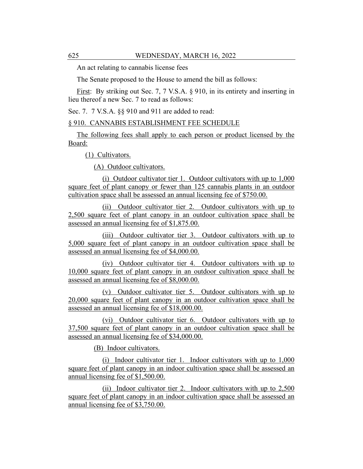An act relating to cannabis license fees

The Senate proposed to the House to amend the bill as follows:

First: By striking out Sec. 7, 7 V.S.A. § 910, in its entirety and inserting in lieu thereof a new Sec. 7 to read as follows:

Sec. 7. 7 V.S.A. §§ 910 and 911 are added to read:

## § 910. CANNABIS ESTABLISHMENT FEE SCHEDULE

The following fees shall apply to each person or product licensed by the Board:

(1) Cultivators.

(A) Outdoor cultivators.

(i) Outdoor cultivator tier 1. Outdoor cultivators with up to 1,000 square feet of plant canopy or fewer than 125 cannabis plants in an outdoor cultivation space shall be assessed an annual licensing fee of \$750.00.

(ii) Outdoor cultivator tier 2. Outdoor cultivators with up to 2,500 square feet of plant canopy in an outdoor cultivation space shall be assessed an annual licensing fee of \$1,875.00.

(iii) Outdoor cultivator tier 3. Outdoor cultivators with up to 5,000 square feet of plant canopy in an outdoor cultivation space shall be assessed an annual licensing fee of \$4,000.00.

(iv) Outdoor cultivator tier 4. Outdoor cultivators with up to 10,000 square feet of plant canopy in an outdoor cultivation space shall be assessed an annual licensing fee of \$8,000.00.

(v) Outdoor cultivator tier 5. Outdoor cultivators with up to 20,000 square feet of plant canopy in an outdoor cultivation space shall be assessed an annual licensing fee of \$18,000.00.

(vi) Outdoor cultivator tier 6. Outdoor cultivators with up to 37,500 square feet of plant canopy in an outdoor cultivation space shall be assessed an annual licensing fee of \$34,000.00.

(B) Indoor cultivators.

(i) Indoor cultivator tier 1. Indoor cultivators with up to 1,000 square feet of plant canopy in an indoor cultivation space shall be assessed an annual licensing fee of \$1,500.00.

(ii) Indoor cultivator tier 2. Indoor cultivators with up to 2,500 square feet of plant canopy in an indoor cultivation space shall be assessed an annual licensing fee of \$3,750.00.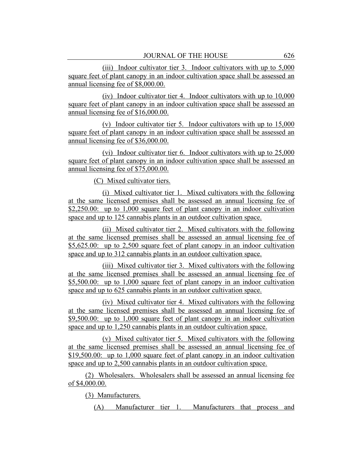(iii) Indoor cultivator tier 3. Indoor cultivators with up to 5,000 square feet of plant canopy in an indoor cultivation space shall be assessed an annual licensing fee of \$8,000.00.

(iv) Indoor cultivator tier 4. Indoor cultivators with up to 10,000 square feet of plant canopy in an indoor cultivation space shall be assessed an annual licensing fee of \$16,000.00.

(v) Indoor cultivator tier 5. Indoor cultivators with up to 15,000 square feet of plant canopy in an indoor cultivation space shall be assessed an annual licensing fee of \$36,000.00.

(vi) Indoor cultivator tier 6. Indoor cultivators with up to 25,000 square feet of plant canopy in an indoor cultivation space shall be assessed an annual licensing fee of \$75,000.00.

(C) Mixed cultivator tiers.

(i) Mixed cultivator tier 1. Mixed cultivators with the following at the same licensed premises shall be assessed an annual licensing fee of \$2,250.00: up to 1,000 square feet of plant canopy in an indoor cultivation space and up to 125 cannabis plants in an outdoor cultivation space.

(ii) Mixed cultivator tier 2. Mixed cultivators with the following at the same licensed premises shall be assessed an annual licensing fee of \$5,625.00: up to 2,500 square feet of plant canopy in an indoor cultivation space and up to 312 cannabis plants in an outdoor cultivation space.

(iii) Mixed cultivator tier 3. Mixed cultivators with the following at the same licensed premises shall be assessed an annual licensing fee of \$5,500.00: up to 1,000 square feet of plant canopy in an indoor cultivation space and up to 625 cannabis plants in an outdoor cultivation space.

(iv) Mixed cultivator tier 4. Mixed cultivators with the following at the same licensed premises shall be assessed an annual licensing fee of \$9,500.00: up to 1,000 square feet of plant canopy in an indoor cultivation space and up to 1,250 cannabis plants in an outdoor cultivation space.

(v) Mixed cultivator tier 5. Mixed cultivators with the following at the same licensed premises shall be assessed an annual licensing fee of \$19,500.00: up to 1,000 square feet of plant canopy in an indoor cultivation space and up to 2,500 cannabis plants in an outdoor cultivation space.

(2) Wholesalers. Wholesalers shall be assessed an annual licensing fee of \$4,000.00.

(3) Manufacturers.

(A) Manufacturer tier 1. Manufacturers that process and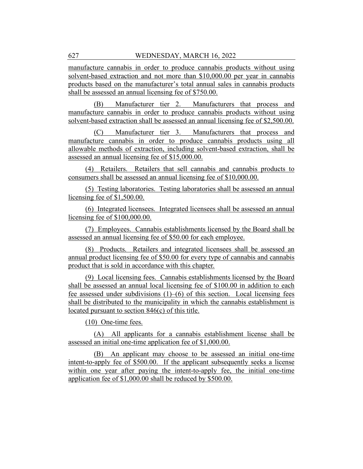manufacture cannabis in order to produce cannabis products without using solvent-based extraction and not more than \$10,000.00 per year in cannabis products based on the manufacturer's total annual sales in cannabis products shall be assessed an annual licensing fee of \$750.00.

(B) Manufacturer tier 2. Manufacturers that process and manufacture cannabis in order to produce cannabis products without using solvent-based extraction shall be assessed an annual licensing fee of \$2,500.00.

(C) Manufacturer tier 3. Manufacturers that process and manufacture cannabis in order to produce cannabis products using all allowable methods of extraction, including solvent-based extraction, shall be assessed an annual licensing fee of \$15,000.00.

(4) Retailers. Retailers that sell cannabis and cannabis products to consumers shall be assessed an annual licensing fee of \$10,000.00.

(5) Testing laboratories. Testing laboratories shall be assessed an annual licensing fee of \$1,500.00.

(6) Integrated licensees. Integrated licensees shall be assessed an annual licensing fee of \$100,000.00.

(7) Employees. Cannabis establishments licensed by the Board shall be assessed an annual licensing fee of \$50.00 for each employee.

(8) Products. Retailers and integrated licensees shall be assessed an annual product licensing fee of \$50.00 for every type of cannabis and cannabis product that is sold in accordance with this chapter.

(9) Local licensing fees. Cannabis establishments licensed by the Board shall be assessed an annual local licensing fee of \$100.00 in addition to each fee assessed under subdivisions  $(1)$ – $(6)$  of this section. Local licensing fees shall be distributed to the municipality in which the cannabis establishment is located pursuant to section 846(c) of this title.

(10) One-time fees.

(A) All applicants for a cannabis establishment license shall be assessed an initial one-time application fee of \$1,000.00.

(B) An applicant may choose to be assessed an initial one-time intent-to-apply fee of \$500.00. If the applicant subsequently seeks a license within one year after paying the intent-to-apply fee, the initial one-time application fee of \$1,000.00 shall be reduced by \$500.00.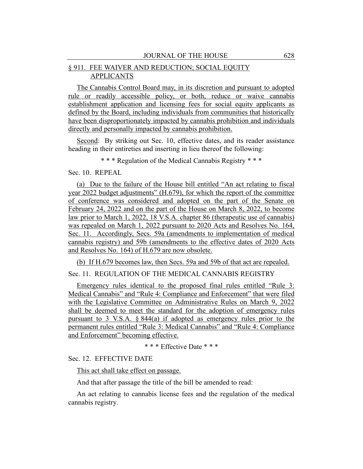## § 911. FEE WAIVER AND REDUCTION; SOCIAL EQUITY APPLICANTS

The Cannabis Control Board may, in its discretion and pursuant to adopted rule or readily accessible policy, or both, reduce or waive cannabis establishment application and licensing fees for social equity applicants as defined by the Board, including individuals from communities that historically have been disproportionately impacted by cannabis prohibition and individuals directly and personally impacted by cannabis prohibition.

Second: By striking out Sec. 10, effective dates, and its reader assistance heading in their entireties and inserting in lieu thereof the following:

\* \* \* Regulation of the Medical Cannabis Registry \* \* \*

## Sec. 10. REPEAL

(a) Due to the failure of the House bill entitled "An act relating to fiscal year 2022 budget adjustments" (H.679), for which the report of the committee of conference was considered and adopted on the part of the Senate on February 24, 2022 and on the part of the House on March 8, 2022, to become law prior to March 1, 2022, 18 V.S.A. chapter 86 (therapeutic use of cannabis) was repealed on March 1, 2022 pursuant to 2020 Acts and Resolves No. 164, Sec. 11. Accordingly, Secs. 59a (amendments to implementation of medical cannabis registry) and 59b (amendments to the effective dates of 2020 Acts and Resolves No. 164) of H.679 are now obsolete.

(b) If H.679 becomes law, then Secs. 59a and 59b of that act are repealed.

## Sec. 11. REGULATION OF THE MEDICAL CANNABIS REGISTRY

Emergency rules identical to the proposed final rules entitled "Rule 3: Medical Cannabis" and "Rule 4: Compliance and Enforcement" that were filed with the Legislative Committee on Administrative Rules on March 9, 2022 shall be deemed to meet the standard for the adoption of emergency rules pursuant to 3 V.S.A.  $\S 844(a)$  if adopted as emergency rules prior to the permanent rules entitled "Rule 3: Medical Cannabis" and "Rule 4: Compliance and Enforcement" becoming effective.

\* \* \* Effective Date \* \* \*

## Sec. 12. EFFECTIVE DATE

This act shall take effect on passage.

And that after passage the title of the bill be amended to read:

An act relating to cannabis license fees and the regulation of the medical cannabis registry.